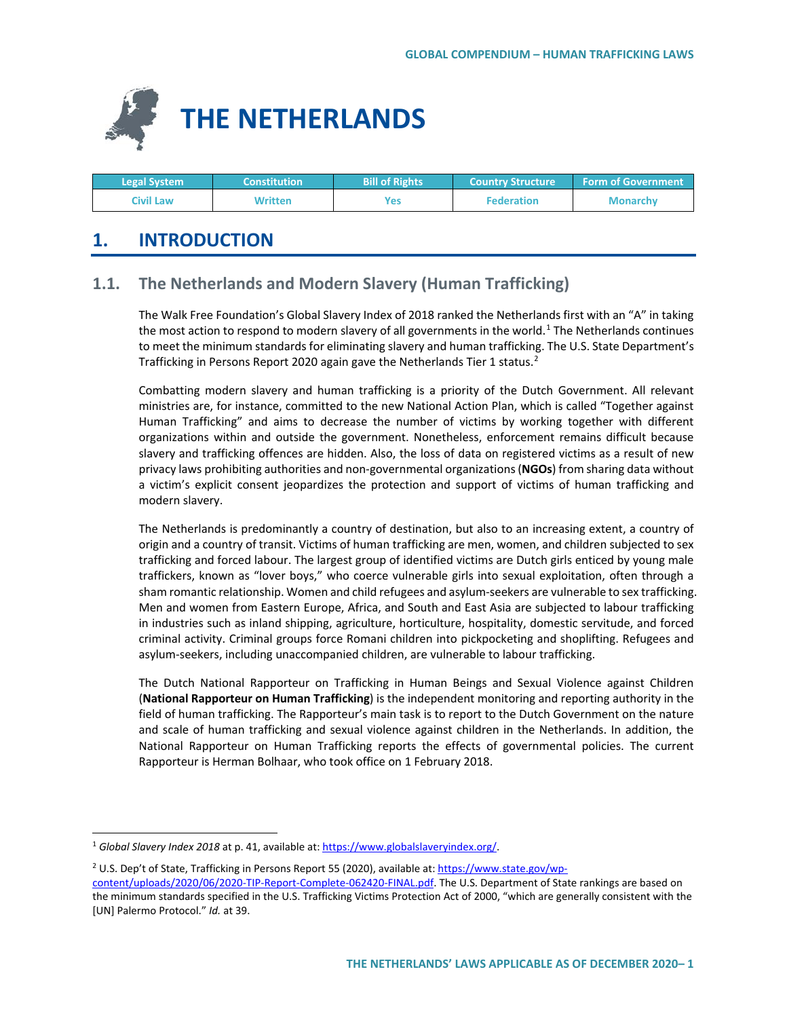

| <b>Legal System</b> | <b>Constitution</b> | <b>Bill of Rights</b> | <b>Country Structure ا</b> | <b>Form of Government</b> |
|---------------------|---------------------|-----------------------|----------------------------|---------------------------|
| Civil Law           | Written             | Yes                   | <b>Federation</b>          | <b>Monarchy</b>           |

# **1. INTRODUCTION**

# **1.1. The Netherlands and Modern Slavery (Human Trafficking)**

The Walk Free Foundation's Global Slavery Index of 2018 ranked the Netherlands first with an "A" in taking the most action to respond to modern slavery of all governments in the world.<sup>[1](#page-0-0)</sup> The Netherlands continues to meet the minimum standards for eliminating slavery and human trafficking. The U.S. State Department's Trafficking in Persons Report [2](#page-0-1)020 again gave the Netherlands Tier 1 status.<sup>2</sup>

Combatting modern slavery and human trafficking is a priority of the Dutch Government. All relevant ministries are, for instance, committed to the new National Action Plan, which is called "Together against Human Trafficking" and aims to decrease the number of victims by working together with different organizations within and outside the government. Nonetheless, enforcement remains difficult because slavery and trafficking offences are hidden. Also, the loss of data on registered victims as a result of new privacy laws prohibiting authorities and non-governmental organizations (**NGOs**) from sharing data without a victim's explicit consent jeopardizes the protection and support of victims of human trafficking and modern slavery.

The Netherlands is predominantly a country of destination, but also to an increasing extent, a country of origin and a country of transit. Victims of human trafficking are men, women, and children subjected to sex trafficking and forced labour. The largest group of identified victims are Dutch girls enticed by young male traffickers, known as "lover boys," who coerce vulnerable girls into sexual exploitation, often through a sham romantic relationship. Women and child refugees and asylum-seekers are vulnerable to sex trafficking. Men and women from Eastern Europe, Africa, and South and East Asia are subjected to labour trafficking in industries such as inland shipping, agriculture, horticulture, hospitality, domestic servitude, and forced criminal activity. Criminal groups force Romani children into pickpocketing and shoplifting. Refugees and asylum-seekers, including unaccompanied children, are vulnerable to labour trafficking.

The Dutch National Rapporteur on Trafficking in Human Beings and Sexual Violence against Children (**National Rapporteur on Human Trafficking**) is the independent monitoring and reporting authority in the field of human trafficking. The Rapporteur's main task is to report to the Dutch Government on the nature and scale of human trafficking and sexual violence against children in the Netherlands. In addition, the National Rapporteur on Human Trafficking reports the effects of governmental policies. The current Rapporteur is Herman Bolhaar, who took office on 1 February 2018.

<span id="page-0-0"></span><sup>&</sup>lt;sup>1</sup> Global Slavery Index 2018 at p. 41, available at: https://www.globalslaveryindex.org/.

<span id="page-0-1"></span><sup>2</sup> U.S. Dep't of State, Trafficking in Persons Report 55 (2020), available at: [https://www.state.gov/wp](https://www.state.gov/wp-content/uploads/2020/06/2020-TIP-Report-Complete-062420-FINAL.pdf)[content/uploads/2020/06/2020-TIP-Report-Complete-062420-FINAL.pdf.](https://www.state.gov/wp-content/uploads/2020/06/2020-TIP-Report-Complete-062420-FINAL.pdf) The U.S. Department of State rankings are based on the minimum standards specified in the U.S. Trafficking Victims Protection Act of 2000, "which are generally consistent with the [UN] Palermo Protocol." *Id.* at 39.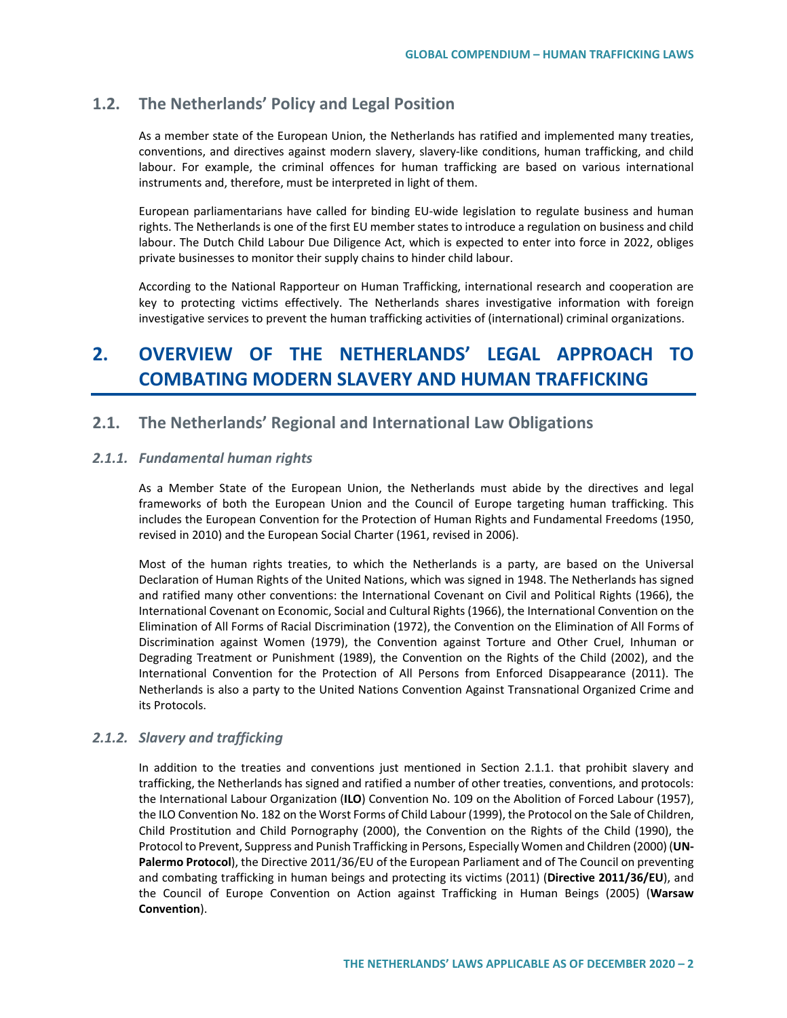# **1.2. The Netherlands' Policy and Legal Position**

As a member state of the European Union, the Netherlands has ratified and implemented many treaties, conventions, and directives against modern slavery, slavery-like conditions, human trafficking, and child labour. For example, the criminal offences for human trafficking are based on various international instruments and, therefore, must be interpreted in light of them.

European parliamentarians have called for binding EU-wide legislation to regulate business and human rights. The Netherlands is one of the first EU member states to introduce a regulation on business and child labour. The Dutch Child Labour Due Diligence Act, which is expected to enter into force in 2022, obliges private businesses to monitor their supply chains to hinder child labour.

According to the National Rapporteur on Human Trafficking, international research and cooperation are key to protecting victims effectively. The Netherlands shares investigative information with foreign investigative services to prevent the human trafficking activities of (international) criminal organizations.

# **2. OVERVIEW OF THE NETHERLANDS' LEGAL APPROACH TO COMBATING MODERN SLAVERY AND HUMAN TRAFFICKING**

# **2.1. The Netherlands' Regional and International Law Obligations**

## *2.1.1. Fundamental human rights*

As a Member State of the European Union, the Netherlands must abide by the directives and legal frameworks of both the European Union and the Council of Europe targeting human trafficking. This includes the European Convention for the Protection of Human Rights and Fundamental Freedoms (1950, revised in 2010) and the European Social Charter (1961, revised in 2006).

Most of the human rights treaties, to which the Netherlands is a party, are based on the Universal Declaration of Human Rights of the United Nations, which was signed in 1948. The Netherlands has signed and ratified many other conventions: the International Covenant on Civil and Political Rights (1966), the International Covenant on Economic, Social and Cultural Rights (1966), the International Convention on the Elimination of All Forms of Racial Discrimination (1972), the Convention on the Elimination of All Forms of Discrimination against Women (1979), the Convention against Torture and Other Cruel, Inhuman or Degrading Treatment or Punishment (1989), the Convention on the Rights of the Child (2002), and the International Convention for the Protection of All Persons from Enforced Disappearance (2011). The Netherlands is also a party to the United Nations Convention Against Transnational Organized Crime and its Protocols.

## *2.1.2. Slavery and trafficking*

In addition to the treaties and conventions just mentioned in Section 2.1.1. that prohibit slavery and trafficking, the Netherlands has signed and ratified a number of other treaties, conventions, and protocols: the International Labour Organization (**ILO**) Convention No. 109 on the Abolition of Forced Labour (1957), the ILO Convention No. 182 on the Worst Forms of Child Labour (1999), the Protocol on the Sale of Children, Child Prostitution and Child Pornography (2000), the Convention on the Rights of the Child (1990), the Protocol to Prevent, Suppress and Punish Trafficking in Persons, Especially Women and Children (2000) (**UN-Palermo Protocol**), the Directive 2011/36/EU of the European Parliament and of The Council on preventing and combating trafficking in human beings and protecting its victims (2011) (**Directive 2011/36/EU**), and the Council of Europe Convention on Action against Trafficking in Human Beings (2005) (**Warsaw Convention**).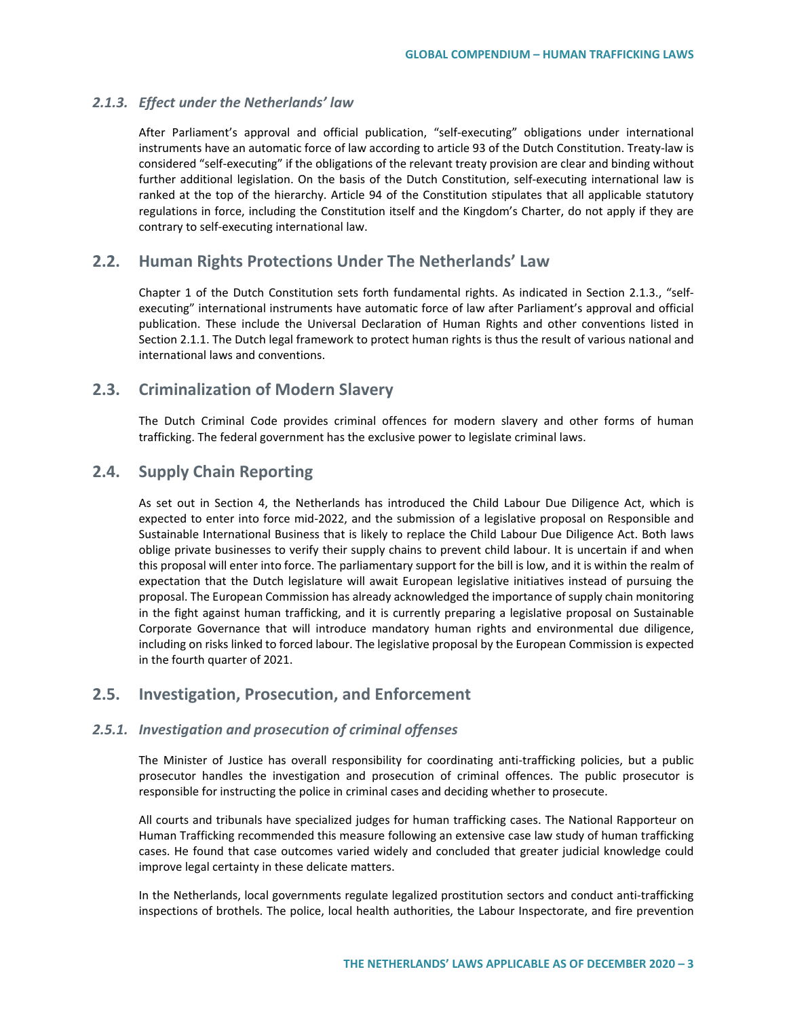## *2.1.3. Effect under the Netherlands' law*

After Parliament's approval and official publication, "self-executing" obligations under international instruments have an automatic force of law according to article 93 of the Dutch Constitution. Treaty-law is considered "self-executing" if the obligations of the relevant treaty provision are clear and binding without further additional legislation. On the basis of the Dutch Constitution, self-executing international law is ranked at the top of the hierarchy. Article 94 of the Constitution stipulates that all applicable statutory regulations in force, including the Constitution itself and the Kingdom's Charter, do not apply if they are contrary to self-executing international law.

# **2.2. Human Rights Protections Under The Netherlands' Law**

Chapter 1 of the Dutch Constitution sets forth fundamental rights. As indicated in Section 2.1.3., "selfexecuting" international instruments have automatic force of law after Parliament's approval and official publication. These include the Universal Declaration of Human Rights and other conventions listed in Section 2.1.1. The Dutch legal framework to protect human rights is thus the result of various national and international laws and conventions.

# **2.3. Criminalization of Modern Slavery**

The Dutch Criminal Code provides criminal offences for modern slavery and other forms of human trafficking. The federal government has the exclusive power to legislate criminal laws.

# **2.4. Supply Chain Reporting**

As set out in Section 4, the Netherlands has introduced the Child Labour Due Diligence Act, which is expected to enter into force mid-2022, and the submission of a legislative proposal on Responsible and Sustainable International Business that is likely to replace the Child Labour Due Diligence Act. Both laws oblige private businesses to verify their supply chains to prevent child labour. It is uncertain if and when this proposal will enter into force. The parliamentary support for the bill is low, and it is within the realm of expectation that the Dutch legislature will await European legislative initiatives instead of pursuing the proposal. The European Commission has already acknowledged the importance of supply chain monitoring in the fight against human trafficking, and it is currently preparing a legislative proposal on Sustainable Corporate Governance that will introduce mandatory human rights and environmental due diligence, including on risks linked to forced labour. The legislative proposal by the European Commission is expected in the fourth quarter of 2021.

# **2.5. Investigation, Prosecution, and Enforcement**

### *2.5.1. Investigation and prosecution of criminal offenses*

The Minister of Justice has overall responsibility for coordinating anti-trafficking policies, but a public prosecutor handles the investigation and prosecution of criminal offences. The public prosecutor is responsible for instructing the police in criminal cases and deciding whether to prosecute.

All courts and tribunals have specialized judges for human trafficking cases. The National Rapporteur on Human Trafficking recommended this measure following an extensive case law study of human trafficking cases. He found that case outcomes varied widely and concluded that greater judicial knowledge could improve legal certainty in these delicate matters.

In the Netherlands, local governments regulate legalized prostitution sectors and conduct anti-trafficking inspections of brothels. The police, local health authorities, the Labour Inspectorate, and fire prevention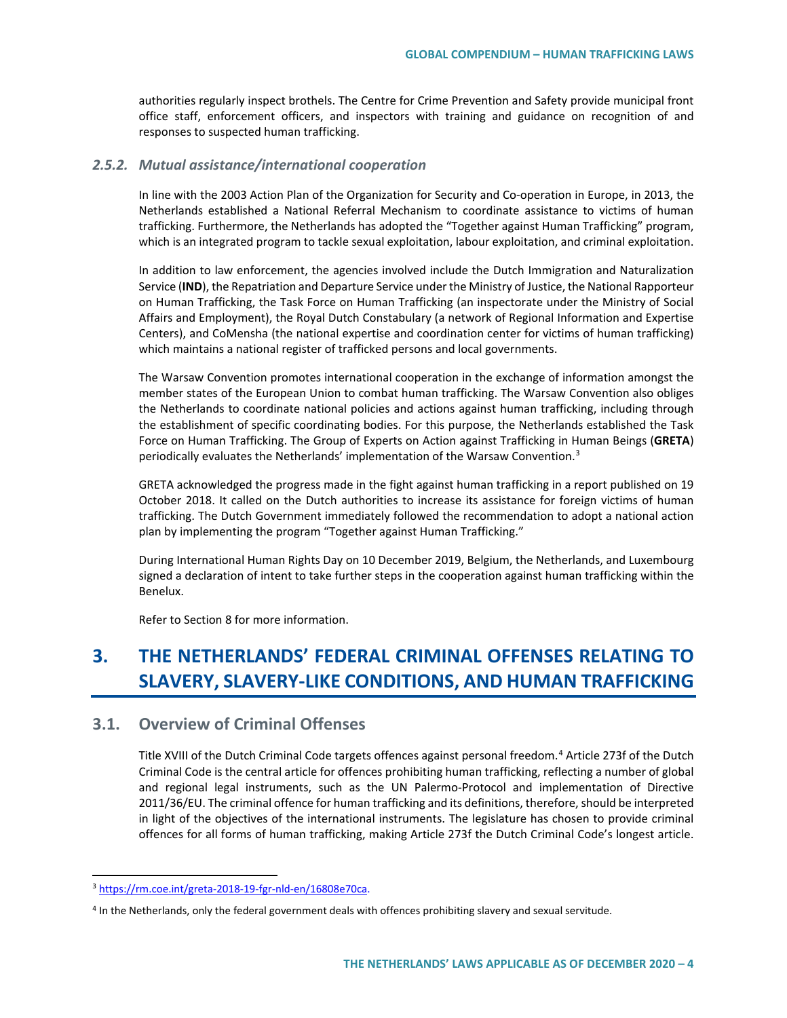authorities regularly inspect brothels. The Centre for Crime Prevention and Safety provide municipal front office staff, enforcement officers, and inspectors with training and guidance on recognition of and responses to suspected human trafficking.

### *2.5.2. Mutual assistance/international cooperation*

In line with the 2003 Action Plan of the Organization for Security and Co-operation in Europe, in 2013, the Netherlands established a National Referral Mechanism to coordinate assistance to victims of human trafficking. Furthermore, the Netherlands has adopted the "Together against Human Trafficking" program, which is an integrated program to tackle sexual exploitation, labour exploitation, and criminal exploitation.

In addition to law enforcement, the agencies involved include the Dutch Immigration and Naturalization Service (**IND**), the Repatriation and Departure Service under the Ministry of Justice, the National Rapporteur on Human Trafficking, the Task Force on Human Trafficking (an inspectorate under the Ministry of Social Affairs and Employment), the Royal Dutch Constabulary (a network of Regional Information and Expertise Centers), and CoMensha (the national expertise and coordination center for victims of human trafficking) which maintains a national register of trafficked persons and local governments.

The Warsaw Convention promotes international cooperation in the exchange of information amongst the member states of the European Union to combat human trafficking. The Warsaw Convention also obliges the Netherlands to coordinate national policies and actions against human trafficking, including through the establishment of specific coordinating bodies. For this purpose, the Netherlands established the Task Force on Human Trafficking. The Group of Experts on Action against Trafficking in Human Beings (**GRETA**) periodically evaluates the Netherlands' implementation of the Warsaw Convention.[3](#page-3-0)

GRETA acknowledged the progress made in the fight against human trafficking in a report published on 19 October 2018. It called on the Dutch authorities to increase its assistance for foreign victims of human trafficking. The Dutch Government immediately followed the recommendation to adopt a national action plan by implementing the program "Together against Human Trafficking."

During International Human Rights Day on 10 December 2019, Belgium, the Netherlands, and Luxembourg signed a declaration of intent to take further steps in the cooperation against human trafficking within the Benelux.

Refer to Section 8 for more information.

# **3. THE NETHERLANDS' FEDERAL CRIMINAL OFFENSES RELATING TO SLAVERY, SLAVERY-LIKE CONDITIONS, AND HUMAN TRAFFICKING**

# **3.1. Overview of Criminal Offenses**

Title XVIII of the Dutch Criminal Code targets offences against personal freedom.[4](#page-3-1) Article 273f of the Dutch Criminal Code is the central article for offences prohibiting human trafficking, reflecting a number of global and regional legal instruments, such as the UN Palermo-Protocol and implementation of Directive 2011/36/EU. The criminal offence for human trafficking and its definitions, therefore, should be interpreted in light of the objectives of the international instruments. The legislature has chosen to provide criminal offences for all forms of human trafficking, making Article 273f the Dutch Criminal Code's longest article.

<span id="page-3-0"></span> <sup>3</sup> [https://rm.coe.int/greta-2018-19-fgr-nld-en/16808e70ca.](https://rm.coe.int/greta-2018-19-fgr-nld-en/16808e70ca)

<span id="page-3-1"></span><sup>4</sup> In the Netherlands, only the federal government deals with offences prohibiting slavery and sexual servitude.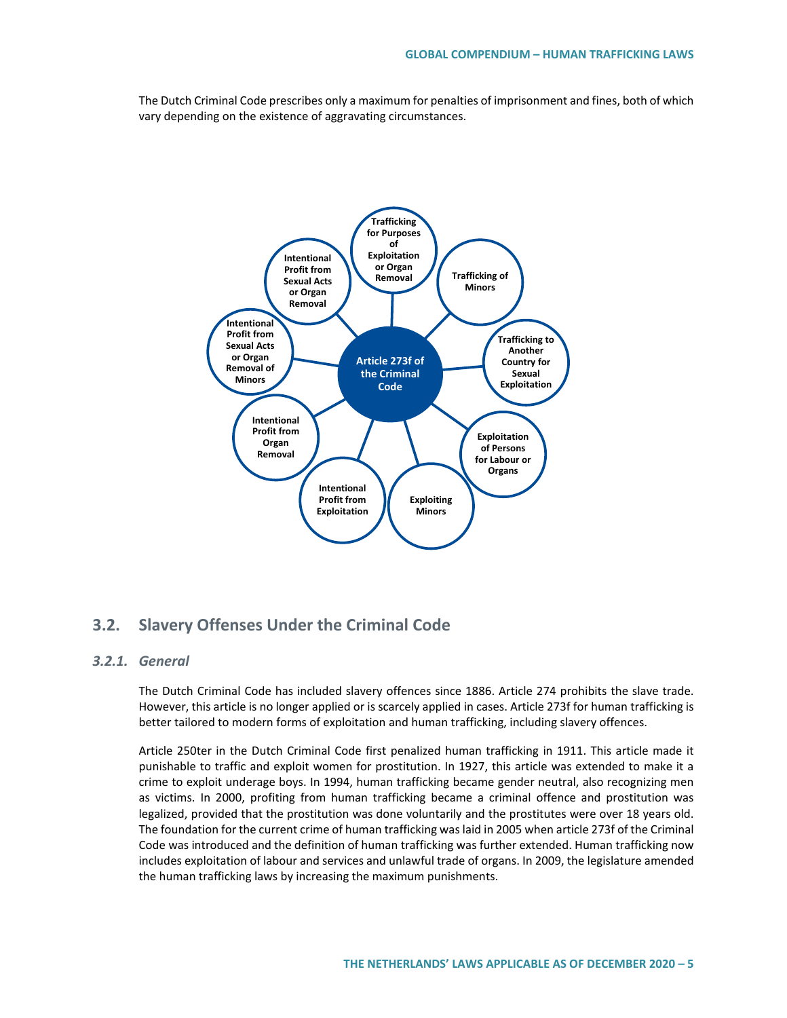The Dutch Criminal Code prescribes only a maximum for penalties of imprisonment and fines, both of which vary depending on the existence of aggravating circumstances.



# **3.2. Slavery Offenses Under the Criminal Code**

## *3.2.1. General*

The Dutch Criminal Code has included slavery offences since 1886. Article 274 prohibits the slave trade. However, this article is no longer applied or is scarcely applied in cases. Article 273f for human trafficking is better tailored to modern forms of exploitation and human trafficking, including slavery offences.

Article 250ter in the Dutch Criminal Code first penalized human trafficking in 1911. This article made it punishable to traffic and exploit women for prostitution. In 1927, this article was extended to make it a crime to exploit underage boys. In 1994, human trafficking became gender neutral, also recognizing men as victims. In 2000, profiting from human trafficking became a criminal offence and prostitution was legalized, provided that the prostitution was done voluntarily and the prostitutes were over 18 years old. The foundation for the current crime of human trafficking was laid in 2005 when article 273f of the Criminal Code was introduced and the definition of human trafficking was further extended. Human trafficking now includes exploitation of labour and services and unlawful trade of organs. In 2009, the legislature amended the human trafficking laws by increasing the maximum punishments.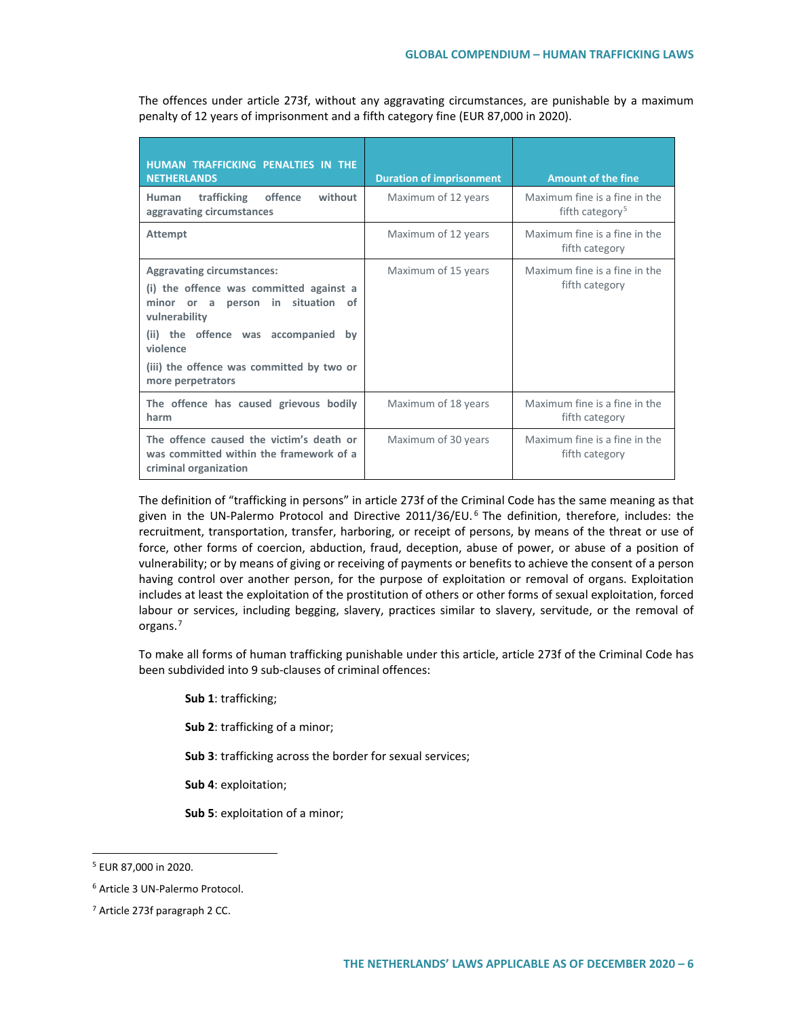The offences under article 273f, without any aggravating circumstances, are punishable by a maximum penalty of 12 years of imprisonment and a fifth category fine (EUR 87,000 in 2020).

| HUMAN TRAFFICKING PENALTIES IN THE<br><b>NETHERLANDS</b>                                                                                                                                                                                                               | <b>Duration of imprisonment</b> | <b>Amount of the fine</b>                                    |
|------------------------------------------------------------------------------------------------------------------------------------------------------------------------------------------------------------------------------------------------------------------------|---------------------------------|--------------------------------------------------------------|
| trafficking<br>offence<br>without<br>Human<br>aggravating circumstances                                                                                                                                                                                                | Maximum of 12 years             | Maximum fine is a fine in the<br>fifth category <sup>5</sup> |
| <b>Attempt</b>                                                                                                                                                                                                                                                         | Maximum of 12 years             | Maximum fine is a fine in the<br>fifth category              |
| <b>Aggravating circumstances:</b><br>(i) the offence was committed against a<br>person in<br>situation<br>minor<br>of<br>or a<br>vulnerability<br>(ii) the offence was accompanied<br>bv<br>violence<br>(iii) the offence was committed by two or<br>more perpetrators | Maximum of 15 years             | Maximum fine is a fine in the<br>fifth category              |
| The offence has caused grievous bodily<br>harm                                                                                                                                                                                                                         | Maximum of 18 years             | Maximum fine is a fine in the<br>fifth category              |
| The offence caused the victim's death or<br>was committed within the framework of a<br>criminal organization                                                                                                                                                           | Maximum of 30 years             | Maximum fine is a fine in the<br>fifth category              |

The definition of "trafficking in persons" in article 273f of the Criminal Code has the same meaning as that given in the UN-Palermo Protocol and Directive 2011/3[6](#page-5-1)/EU.<sup>6</sup> The definition, therefore, includes: the recruitment, transportation, transfer, harboring, or receipt of persons, by means of the threat or use of force, other forms of coercion, abduction, fraud, deception, abuse of power, or abuse of a position of vulnerability; or by means of giving or receiving of payments or benefits to achieve the consent of a person having control over another person, for the purpose of exploitation or removal of organs. Exploitation includes at least the exploitation of the prostitution of others or other forms of sexual exploitation, forced labour or services, including begging, slavery, practices similar to slavery, servitude, or the removal of organs.<sup>7</sup>

To make all forms of human trafficking punishable under this article, article 273f of the Criminal Code has been subdivided into 9 sub-clauses of criminal offences:

**Sub 1**: trafficking;

**Sub 2**: trafficking of a minor;

**Sub 3**: trafficking across the border for sexual services;

**Sub 4**: exploitation;

**Sub 5**: exploitation of a minor;

<span id="page-5-0"></span> <sup>5</sup> EUR 87,000 in 2020.

<span id="page-5-1"></span><sup>6</sup> Article 3 UN-Palermo Protocol.

<span id="page-5-2"></span><sup>7</sup> Article 273f paragraph 2 CC.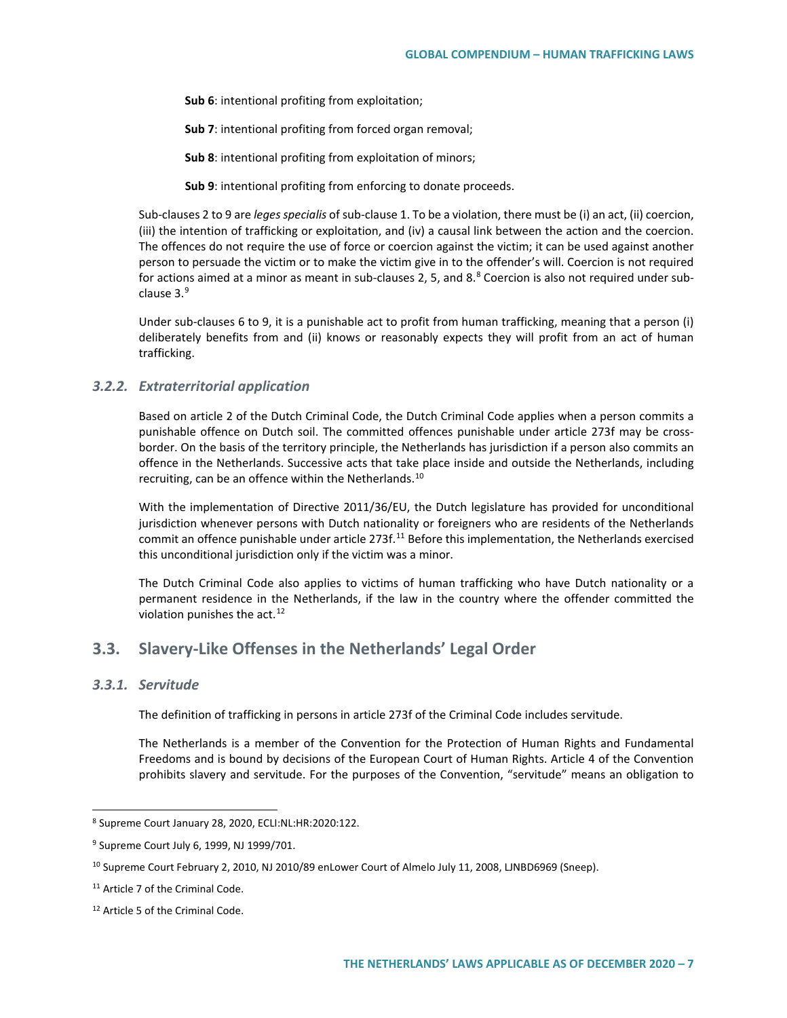**Sub 6**: intentional profiting from exploitation;

**Sub 7**: intentional profiting from forced organ removal;

**Sub 8**: intentional profiting from exploitation of minors;

**Sub 9**: intentional profiting from enforcing to donate proceeds.

Sub-clauses 2 to 9 are *leges specialis* of sub-clause 1. To be a violation, there must be (i) an act, (ii) coercion, (iii) the intention of trafficking or exploitation, and (iv) a causal link between the action and the coercion. The offences do not require the use of force or coercion against the victim; it can be used against another person to persuade the victim or to make the victim give in to the offender's will. Coercion is not required for actions aimed at a minor as meant in sub-clauses 2, 5, and  $8.8$  $8.8$  Coercion is also not required under sub-clause 3.<sup>[9](#page-6-1)</sup>

Under sub-clauses 6 to 9, it is a punishable act to profit from human trafficking, meaning that a person (i) deliberately benefits from and (ii) knows or reasonably expects they will profit from an act of human trafficking.

### *3.2.2. Extraterritorial application*

Based on article 2 of the Dutch Criminal Code, the Dutch Criminal Code applies when a person commits a punishable offence on Dutch soil. The committed offences punishable under article 273f may be crossborder. On the basis of the territory principle, the Netherlands has jurisdiction if a person also commits an offence in the Netherlands. Successive acts that take place inside and outside the Netherlands, including recruiting, can be an offence within the Netherlands.<sup>[10](#page-6-2)</sup>

With the implementation of Directive 2011/36/EU, the Dutch legislature has provided for unconditional jurisdiction whenever persons with Dutch nationality or foreigners who are residents of the Netherlands commit an offence punishable under article 273f.<sup>11</sup> Before this implementation, the Netherlands exercised this unconditional jurisdiction only if the victim was a minor.

The Dutch Criminal Code also applies to victims of human trafficking who have Dutch nationality or a permanent residence in the Netherlands, if the law in the country where the offender committed the violation punishes the act. $12$ 

# **3.3. Slavery-Like Offenses in the Netherlands' Legal Order**

### *3.3.1. Servitude*

The definition of trafficking in persons in article 273f of the Criminal Code includes servitude.

The Netherlands is a member of the Convention for the Protection of Human Rights and Fundamental Freedoms and is bound by decisions of the European Court of Human Rights. Article 4 of the Convention prohibits slavery and servitude. For the purposes of the Convention, "servitude" means an obligation to

<span id="page-6-0"></span> <sup>8</sup> Supreme Court January 28, 2020, ECLI:NL:HR:2020:122.

<span id="page-6-1"></span><sup>&</sup>lt;sup>9</sup> Supreme Court July 6, 1999, NJ 1999/701.

<span id="page-6-2"></span><sup>&</sup>lt;sup>10</sup> Supreme Court February 2, 2010, NJ 2010/89 enLower Court of Almelo July 11, 2008, LJNBD6969 (Sneep).

<span id="page-6-3"></span><sup>&</sup>lt;sup>11</sup> Article 7 of the Criminal Code.

<span id="page-6-4"></span><sup>12</sup> Article 5 of the Criminal Code.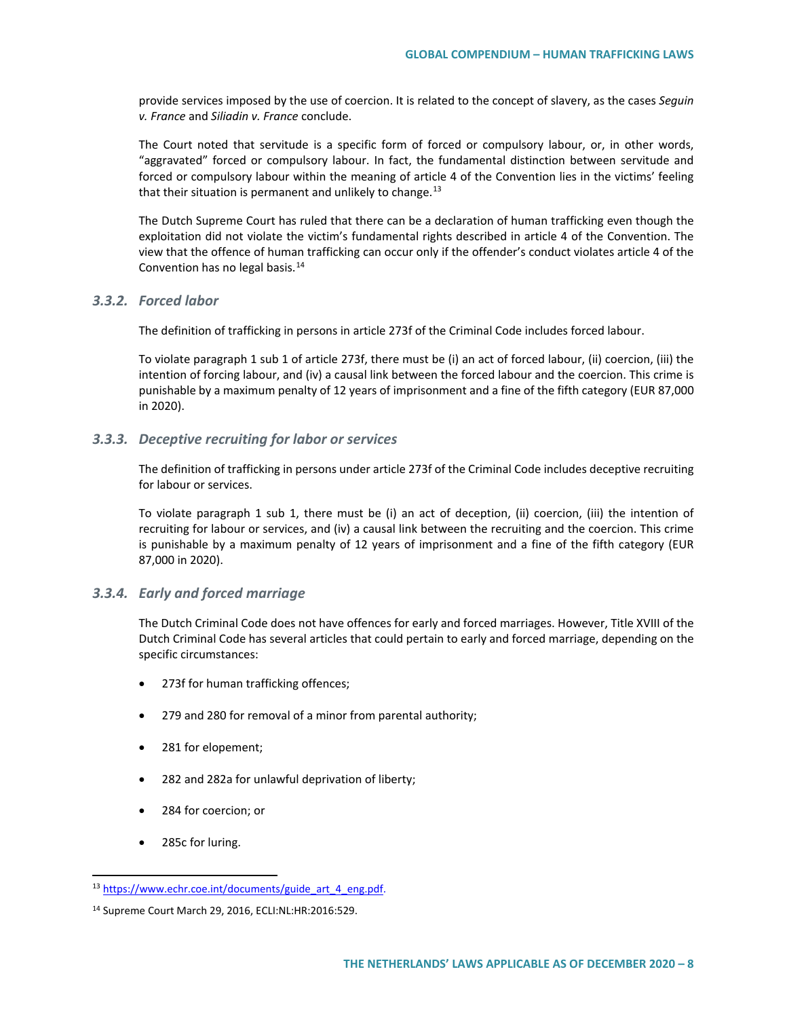provide services imposed by the use of coercion. It is related to the concept of slavery, as the cases *Seguin v. France* and *Siliadin v. France* conclude.

The Court noted that servitude is a specific form of forced or compulsory labour, or, in other words, "aggravated" forced or compulsory labour. In fact, the fundamental distinction between servitude and forced or compulsory labour within the meaning of article 4 of the Convention lies in the victims' feeling that their situation is permanent and unlikely to change.<sup>[13](#page-7-0)</sup>

The Dutch Supreme Court has ruled that there can be a declaration of human trafficking even though the exploitation did not violate the victim's fundamental rights described in article 4 of the Convention. The view that the offence of human trafficking can occur only if the offender's conduct violates article 4 of the Convention has no legal basis.[14](#page-7-1)

### *3.3.2. Forced labor*

The definition of trafficking in persons in article 273f of the Criminal Code includes forced labour.

To violate paragraph 1 sub 1 of article 273f, there must be (i) an act of forced labour, (ii) coercion, (iii) the intention of forcing labour, and (iv) a causal link between the forced labour and the coercion. This crime is punishable by a maximum penalty of 12 years of imprisonment and a fine of the fifth category (EUR 87,000 in 2020).

## *3.3.3. Deceptive recruiting for labor or services*

The definition of trafficking in persons under article 273f of the Criminal Code includes deceptive recruiting for labour or services.

To violate paragraph 1 sub 1, there must be (i) an act of deception, (ii) coercion, (iii) the intention of recruiting for labour or services, and (iv) a causal link between the recruiting and the coercion. This crime is punishable by a maximum penalty of 12 years of imprisonment and a fine of the fifth category (EUR 87,000 in 2020).

## *3.3.4. Early and forced marriage*

The Dutch Criminal Code does not have offences for early and forced marriages. However, Title XVIII of the Dutch Criminal Code has several articles that could pertain to early and forced marriage, depending on the specific circumstances:

- 273f for human trafficking offences;
- 279 and 280 for removal of a minor from parental authority;
- 281 for elopement;
- 282 and 282a for unlawful deprivation of liberty;
- 284 for coercion; or
- 285c for luring.

<span id="page-7-0"></span><sup>13</sup> [https://www.echr.coe.int/documents/guide\\_art\\_4\\_eng.pdf.](https://www.echr.coe.int/documents/guide_art_4_eng.pdf)

<span id="page-7-1"></span><sup>14</sup> Supreme Court March 29, 2016, ECLI:NL:HR:2016:529.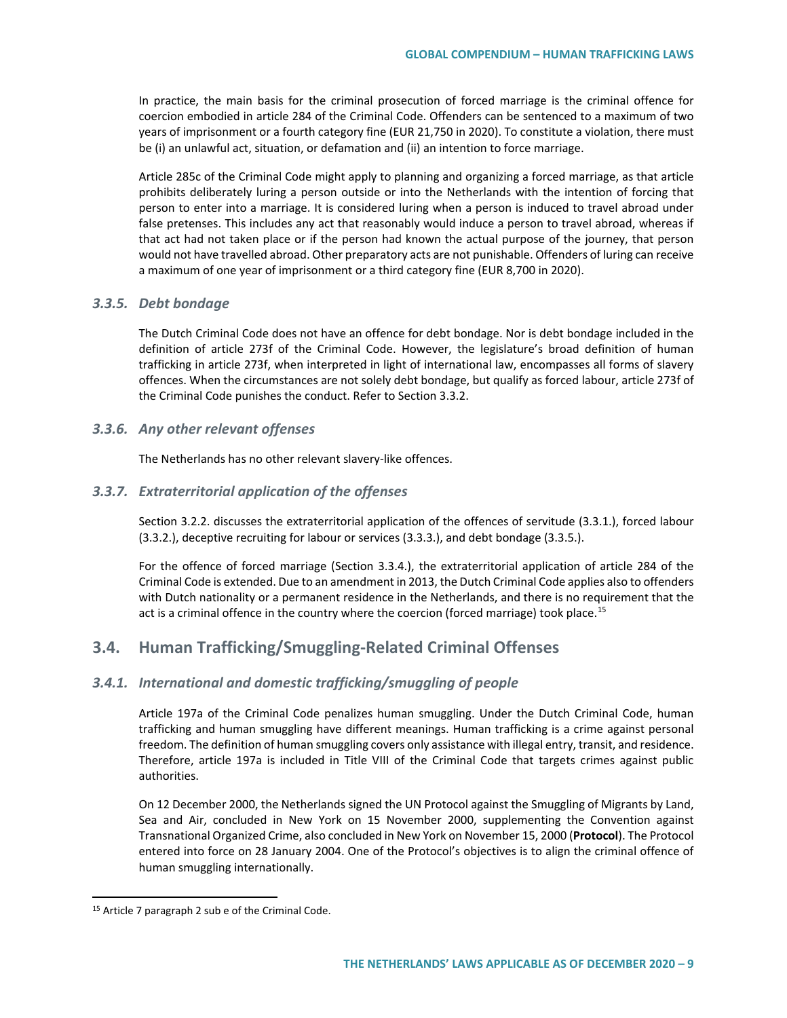In practice, the main basis for the criminal prosecution of forced marriage is the criminal offence for coercion embodied in article 284 of the Criminal Code. Offenders can be sentenced to a maximum of two years of imprisonment or a fourth category fine (EUR 21,750 in 2020). To constitute a violation, there must be (i) an unlawful act, situation, or defamation and (ii) an intention to force marriage.

Article 285c of the Criminal Code might apply to planning and organizing a forced marriage, as that article prohibits deliberately luring a person outside or into the Netherlands with the intention of forcing that person to enter into a marriage. It is considered luring when a person is induced to travel abroad under false pretenses. This includes any act that reasonably would induce a person to travel abroad, whereas if that act had not taken place or if the person had known the actual purpose of the journey, that person would not have travelled abroad. Other preparatory acts are not punishable. Offenders of luring can receive a maximum of one year of imprisonment or a third category fine (EUR 8,700 in 2020).

## *3.3.5. Debt bondage*

The Dutch Criminal Code does not have an offence for debt bondage. Nor is debt bondage included in the definition of article 273f of the Criminal Code. However, the legislature's broad definition of human trafficking in article 273f, when interpreted in light of international law, encompasses all forms of slavery offences. When the circumstances are not solely debt bondage, but qualify as forced labour, article 273f of the Criminal Code punishes the conduct. Refer to Section 3.3.2.

### *3.3.6. Any other relevant offenses*

The Netherlands has no other relevant slavery-like offences.

### *3.3.7. Extraterritorial application of the offenses*

Section 3.2.2. discusses the extraterritorial application of the offences of servitude (3.3.1.), forced labour (3.3.2.), deceptive recruiting for labour or services (3.3.3.), and debt bondage (3.3.5.).

For the offence of forced marriage (Section 3.3.4.), the extraterritorial application of article 284 of the Criminal Code is extended. Due to an amendment in 2013, the Dutch Criminal Code applies also to offenders with Dutch nationality or a permanent residence in the Netherlands, and there is no requirement that the act is a criminal offence in the country where the coercion (forced marriage) took place.<sup>[15](#page-8-0)</sup>

# **3.4. Human Trafficking/Smuggling-Related Criminal Offenses**

### *3.4.1. International and domestic trafficking/smuggling of people*

Article 197a of the Criminal Code penalizes human smuggling. Under the Dutch Criminal Code, human trafficking and human smuggling have different meanings. Human trafficking is a crime against personal freedom. The definition of human smuggling covers only assistance with illegal entry, transit, and residence. Therefore, article 197a is included in Title VIII of the Criminal Code that targets crimes against public authorities.

On 12 December 2000, the Netherlands signed the UN Protocol against the Smuggling of Migrants by Land, Sea and Air, concluded in New York on 15 November 2000, supplementing the Convention against Transnational Organized Crime, also concluded in New York on November 15, 2000 (**Protocol**). The Protocol entered into force on 28 January 2004. One of the Protocol's objectives is to align the criminal offence of human smuggling internationally.

<span id="page-8-0"></span> <sup>15</sup> Article 7 paragraph 2 sub e of the Criminal Code.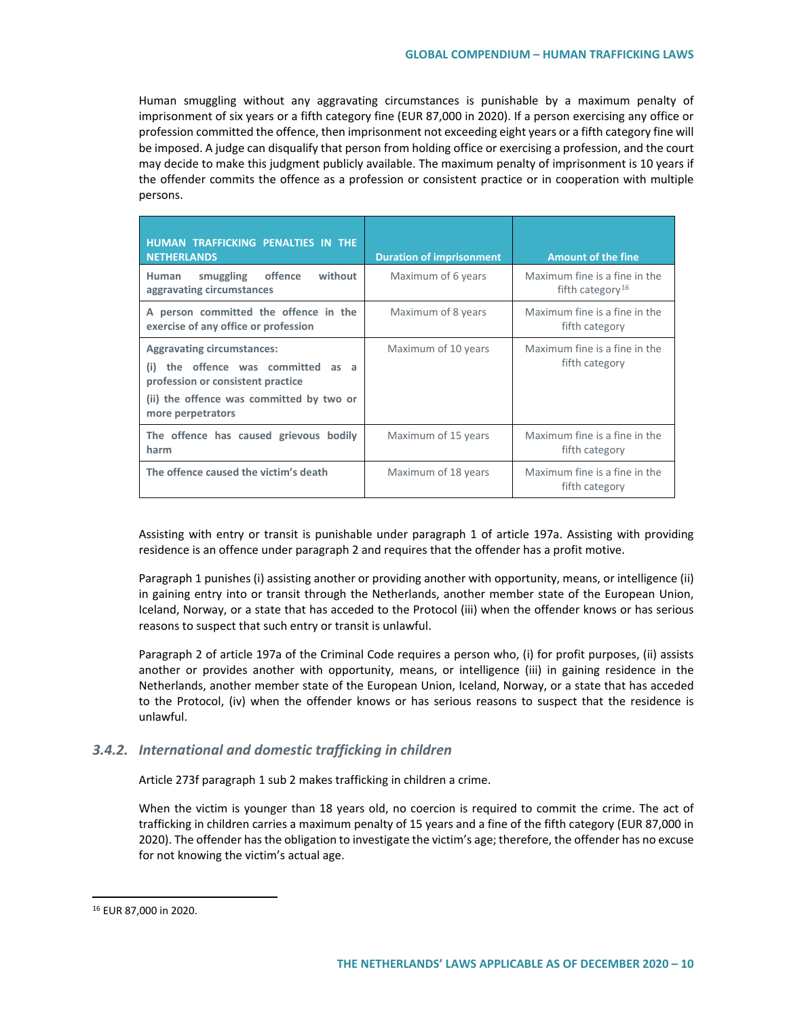Human smuggling without any aggravating circumstances is punishable by a maximum penalty of imprisonment of six years or a fifth category fine (EUR 87,000 in 2020). If a person exercising any office or profession committed the offence, then imprisonment not exceeding eight years or a fifth category fine will be imposed. A judge can disqualify that person from holding office or exercising a profession, and the court may decide to make this judgment publicly available. The maximum penalty of imprisonment is 10 years if the offender commits the offence as a profession or consistent practice or in cooperation with multiple persons.

| HUMAN TRAFFICKING PENALTIES IN THE<br><b>NETHERLANDS</b>                                                                                                                         | <b>Duration of imprisonment</b> | <b>Amount of the fine</b>                                     |
|----------------------------------------------------------------------------------------------------------------------------------------------------------------------------------|---------------------------------|---------------------------------------------------------------|
| smuggling<br>offence<br>without<br>Human<br>aggravating circumstances                                                                                                            | Maximum of 6 years              | Maximum fine is a fine in the<br>fifth category <sup>16</sup> |
| A person committed the offence in the<br>exercise of any office or profession                                                                                                    | Maximum of 8 years              | Maximum fine is a fine in the<br>fifth category               |
| <b>Aggravating circumstances:</b><br>the offence was committed as a<br>(i)<br>profession or consistent practice<br>(ii) the offence was committed by two or<br>more perpetrators | Maximum of 10 years             | Maximum fine is a fine in the<br>fifth category               |
| The offence has caused grievous bodily<br>harm                                                                                                                                   | Maximum of 15 years             | Maximum fine is a fine in the<br>fifth category               |
| The offence caused the victim's death                                                                                                                                            | Maximum of 18 years             | Maximum fine is a fine in the<br>fifth category               |

Assisting with entry or transit is punishable under paragraph 1 of article 197a. Assisting with providing residence is an offence under paragraph 2 and requires that the offender has a profit motive.

Paragraph 1 punishes (i) assisting another or providing another with opportunity, means, or intelligence (ii) in gaining entry into or transit through the Netherlands, another member state of the European Union, Iceland, Norway, or a state that has acceded to the Protocol (iii) when the offender knows or has serious reasons to suspect that such entry or transit is unlawful.

Paragraph 2 of article 197a of the Criminal Code requires a person who, (i) for profit purposes, (ii) assists another or provides another with opportunity, means, or intelligence (iii) in gaining residence in the Netherlands, another member state of the European Union, Iceland, Norway, or a state that has acceded to the Protocol, (iv) when the offender knows or has serious reasons to suspect that the residence is unlawful.

## *3.4.2. International and domestic trafficking in children*

Article 273f paragraph 1 sub 2 makes trafficking in children a crime.

When the victim is younger than 18 years old, no coercion is required to commit the crime. The act of trafficking in children carries a maximum penalty of 15 years and a fine of the fifth category (EUR 87,000 in 2020). The offender has the obligation to investigate the victim's age; therefore, the offender has no excuse for not knowing the victim's actual age.

<span id="page-9-0"></span> <sup>16</sup> EUR 87,000 in 2020.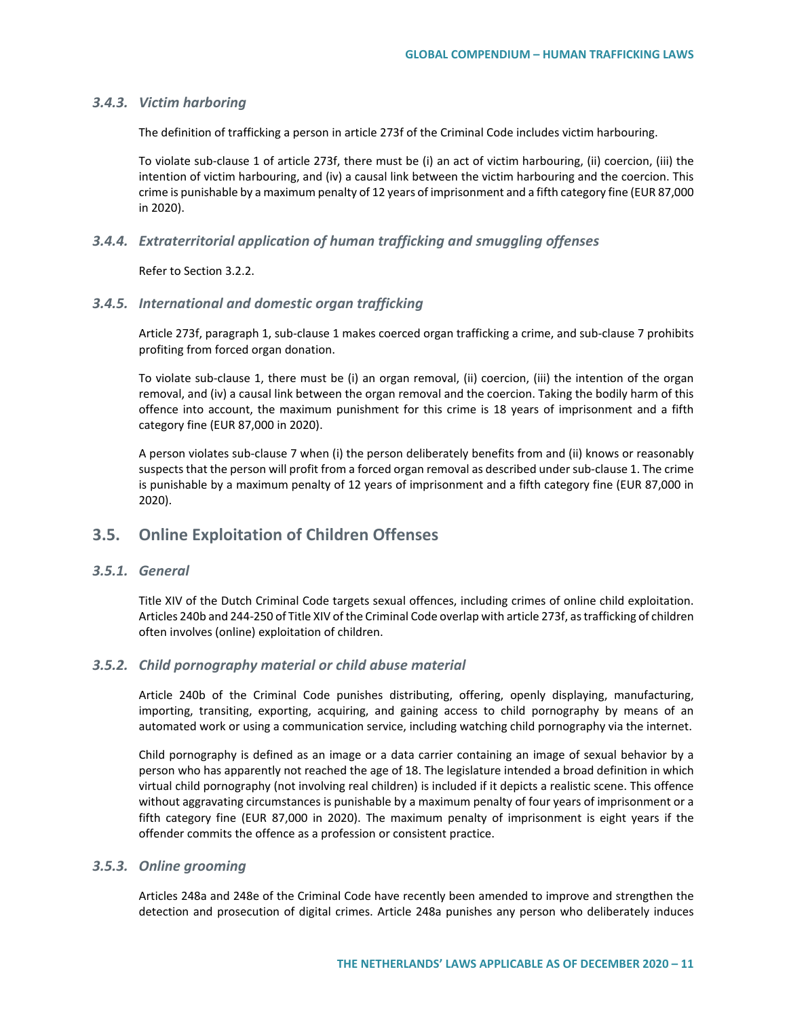### *3.4.3. Victim harboring*

The definition of trafficking a person in article 273f of the Criminal Code includes victim harbouring.

To violate sub-clause 1 of article 273f, there must be (i) an act of victim harbouring, (ii) coercion, (iii) the intention of victim harbouring, and (iv) a causal link between the victim harbouring and the coercion. This crime is punishable by a maximum penalty of 12 years of imprisonment and a fifth category fine (EUR 87,000 in 2020).

### *3.4.4. Extraterritorial application of human trafficking and smuggling offenses*

Refer to Section 3.2.2.

## *3.4.5. International and domestic organ trafficking*

Article 273f, paragraph 1, sub-clause 1 makes coerced organ trafficking a crime, and sub-clause 7 prohibits profiting from forced organ donation.

To violate sub-clause 1, there must be (i) an organ removal, (ii) coercion, (iii) the intention of the organ removal, and (iv) a causal link between the organ removal and the coercion. Taking the bodily harm of this offence into account, the maximum punishment for this crime is 18 years of imprisonment and a fifth category fine (EUR 87,000 in 2020).

A person violates sub-clause 7 when (i) the person deliberately benefits from and (ii) knows or reasonably suspects that the person will profit from a forced organ removal as described under sub-clause 1. The crime is punishable by a maximum penalty of 12 years of imprisonment and a fifth category fine (EUR 87,000 in 2020).

# **3.5. Online Exploitation of Children Offenses**

## *3.5.1. General*

Title XIV of the Dutch Criminal Code targets sexual offences, including crimes of online child exploitation. Articles 240b and 244-250 of Title XIV of the Criminal Code overlap with article 273f, as trafficking of children often involves (online) exploitation of children.

### *3.5.2. Child pornography material or child abuse material*

Article 240b of the Criminal Code punishes distributing, offering, openly displaying, manufacturing, importing, transiting, exporting, acquiring, and gaining access to child pornography by means of an automated work or using a communication service, including watching child pornography via the internet.

Child pornography is defined as an image or a data carrier containing an image of sexual behavior by a person who has apparently not reached the age of 18. The legislature intended a broad definition in which virtual child pornography (not involving real children) is included if it depicts a realistic scene. This offence without aggravating circumstances is punishable by a maximum penalty of four years of imprisonment or a fifth category fine (EUR 87,000 in 2020). The maximum penalty of imprisonment is eight years if the offender commits the offence as a profession or consistent practice.

# *3.5.3. Online grooming*

Articles 248a and 248e of the Criminal Code have recently been amended to improve and strengthen the detection and prosecution of digital crimes. Article 248a punishes any person who deliberately induces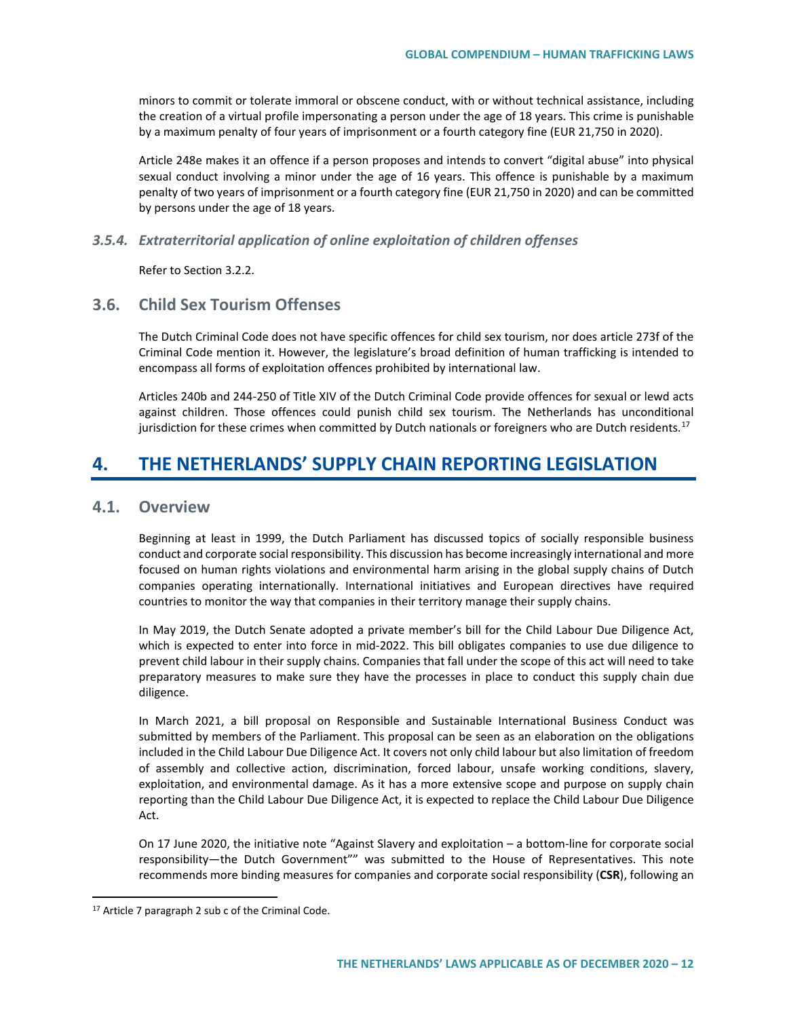minors to commit or tolerate immoral or obscene conduct, with or without technical assistance, including the creation of a virtual profile impersonating a person under the age of 18 years. This crime is punishable by a maximum penalty of four years of imprisonment or a fourth category fine (EUR 21,750 in 2020).

Article 248e makes it an offence if a person proposes and intends to convert "digital abuse" into physical sexual conduct involving a minor under the age of 16 years. This offence is punishable by a maximum penalty of two years of imprisonment or a fourth category fine (EUR 21,750 in 2020) and can be committed by persons under the age of 18 years.

## *3.5.4. Extraterritorial application of online exploitation of children offenses*

Refer to Section 3.2.2.

# **3.6. Child Sex Tourism Offenses**

The Dutch Criminal Code does not have specific offences for child sex tourism, nor does article 273f of the Criminal Code mention it. However, the legislature's broad definition of human trafficking is intended to encompass all forms of exploitation offences prohibited by international law.

Articles 240b and 244-250 of Title XIV of the Dutch Criminal Code provide offences for sexual or lewd acts against children. Those offences could punish child sex tourism. The Netherlands has unconditional jurisdiction for these crimes when committed by Dutch nationals or foreigners who are Dutch residents.<sup>[17](#page-11-0)</sup>

# **4. THE NETHERLANDS' SUPPLY CHAIN REPORTING LEGISLATION**

# **4.1. Overview**

Beginning at least in 1999, the Dutch Parliament has discussed topics of socially responsible business conduct and corporate social responsibility. This discussion has become increasingly international and more focused on human rights violations and environmental harm arising in the global supply chains of Dutch companies operating internationally. International initiatives and European directives have required countries to monitor the way that companies in their territory manage their supply chains.

In May 2019, the Dutch Senate adopted a private member's bill for the Child Labour Due Diligence Act, which is expected to enter into force in mid-2022. This bill obligates companies to use due diligence to prevent child labour in their supply chains. Companies that fall under the scope of this act will need to take preparatory measures to make sure they have the processes in place to conduct this supply chain due diligence.

In March 2021, a bill proposal on Responsible and Sustainable International Business Conduct was submitted by members of the Parliament. This proposal can be seen as an elaboration on the obligations included in the Child Labour Due Diligence Act. It covers not only child labour but also limitation of freedom of assembly and collective action, discrimination, forced labour, unsafe working conditions, slavery, exploitation, and environmental damage. As it has a more extensive scope and purpose on supply chain reporting than the Child Labour Due Diligence Act, it is expected to replace the Child Labour Due Diligence Act.

On 17 June 2020, the initiative note "Against Slavery and exploitation – a bottom-line for corporate social responsibility—the Dutch Government"" was submitted to the House of Representatives. This note recommends more binding measures for companies and corporate social responsibility (**CSR**), following an

<span id="page-11-0"></span><sup>&</sup>lt;sup>17</sup> Article 7 paragraph 2 sub c of the Criminal Code.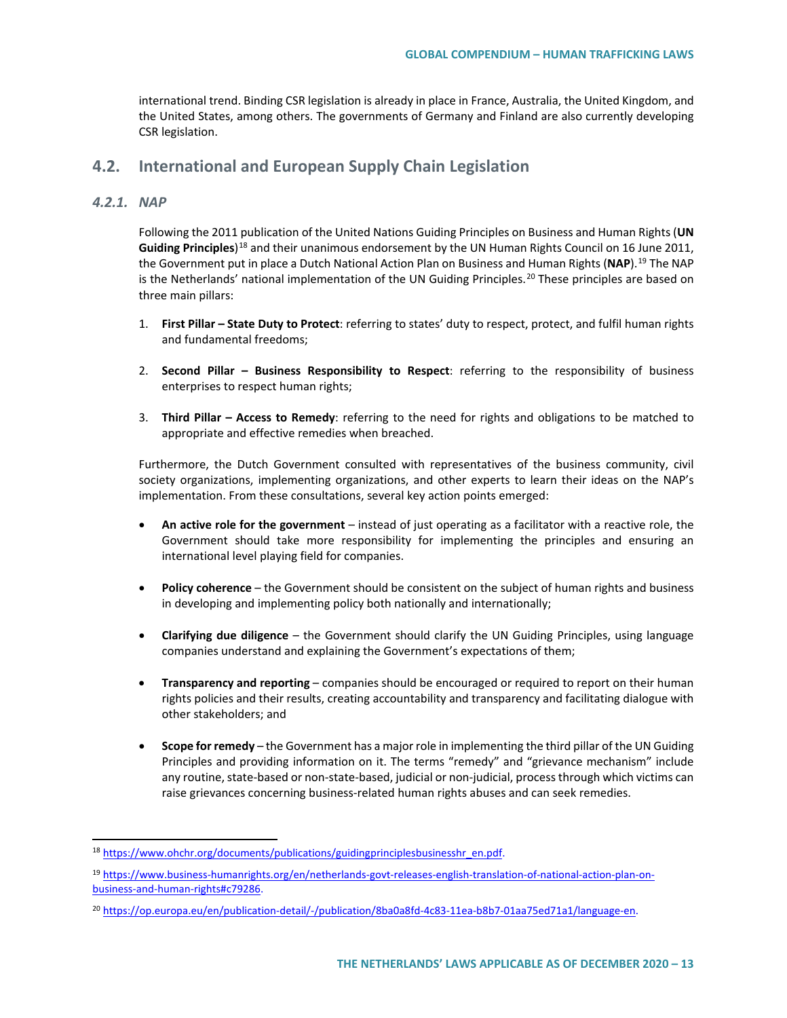international trend. Binding CSR legislation is already in place in France, Australia, the United Kingdom, and the United States, among others. The governments of Germany and Finland are also currently developing CSR legislation.

# **4.2. International and European Supply Chain Legislation**

## *4.2.1. NAP*

Following the 2011 publication of the United Nations Guiding Principles on Business and Human Rights (**UN Guiding Principles**)[18](#page-12-0) and their unanimous endorsement by the UN Human Rights Council on 16 June 2011, the Government put in place a Dutch National Action Plan on Business and Human Rights (**NAP**).[19](#page-12-1) The NAP is the Netherlands' national implementation of the UN Guiding Principles.<sup>[20](#page-12-2)</sup> These principles are based on three main pillars:

- 1. **First Pillar – State Duty to Protect**: referring to states' duty to respect, protect, and fulfil human rights and fundamental freedoms;
- 2. **Second Pillar – Business Responsibility to Respect**: referring to the responsibility of business enterprises to respect human rights;
- 3. **Third Pillar – Access to Remedy**: referring to the need for rights and obligations to be matched to appropriate and effective remedies when breached.

Furthermore, the Dutch Government consulted with representatives of the business community, civil society organizations, implementing organizations, and other experts to learn their ideas on the NAP's implementation. From these consultations, several key action points emerged:

- **An active role for the government** instead of just operating as a facilitator with a reactive role, the Government should take more responsibility for implementing the principles and ensuring an international level playing field for companies.
- **Policy coherence** the Government should be consistent on the subject of human rights and business in developing and implementing policy both nationally and internationally;
- **Clarifying due diligence** the Government should clarify the UN Guiding Principles, using language companies understand and explaining the Government's expectations of them;
- **Transparency and reporting** companies should be encouraged or required to report on their human rights policies and their results, creating accountability and transparency and facilitating dialogue with other stakeholders; and
- **Scope for remedy** the Government has a major role in implementing the third pillar of the UN Guiding Principles and providing information on it. The terms "remedy" and "grievance mechanism" include any routine, state-based or non-state-based, judicial or non-judicial, process through which victims can raise grievances concerning business-related human rights abuses and can seek remedies.

<span id="page-12-0"></span><sup>&</sup>lt;sup>18</sup> [https://www.ohchr.org/documents/publications/guidingprinciplesbusinesshr\\_en.pdf.](https://www.ohchr.org/documents/publications/guidingprinciplesbusinesshr_en.pdf)

<span id="page-12-1"></span><sup>19</sup> [https://www.business-humanrights.org/en/netherlands-govt-releases-english-translation-of-national-action-plan-on](https://www.business-humanrights.org/en/netherlands-govt-releases-english-translation-of-national-action-plan-on-business-and-human-rights#c79286)[business-and-human-rights#c79286.](https://www.business-humanrights.org/en/netherlands-govt-releases-english-translation-of-national-action-plan-on-business-and-human-rights#c79286)

<span id="page-12-2"></span><sup>20</sup> [https://op.europa.eu/en/publication-detail/-/publication/8ba0a8fd-4c83-11ea-b8b7-01aa75ed71a1/language-en.](https://op.europa.eu/en/publication-detail/-/publication/8ba0a8fd-4c83-11ea-b8b7-01aa75ed71a1/language-en)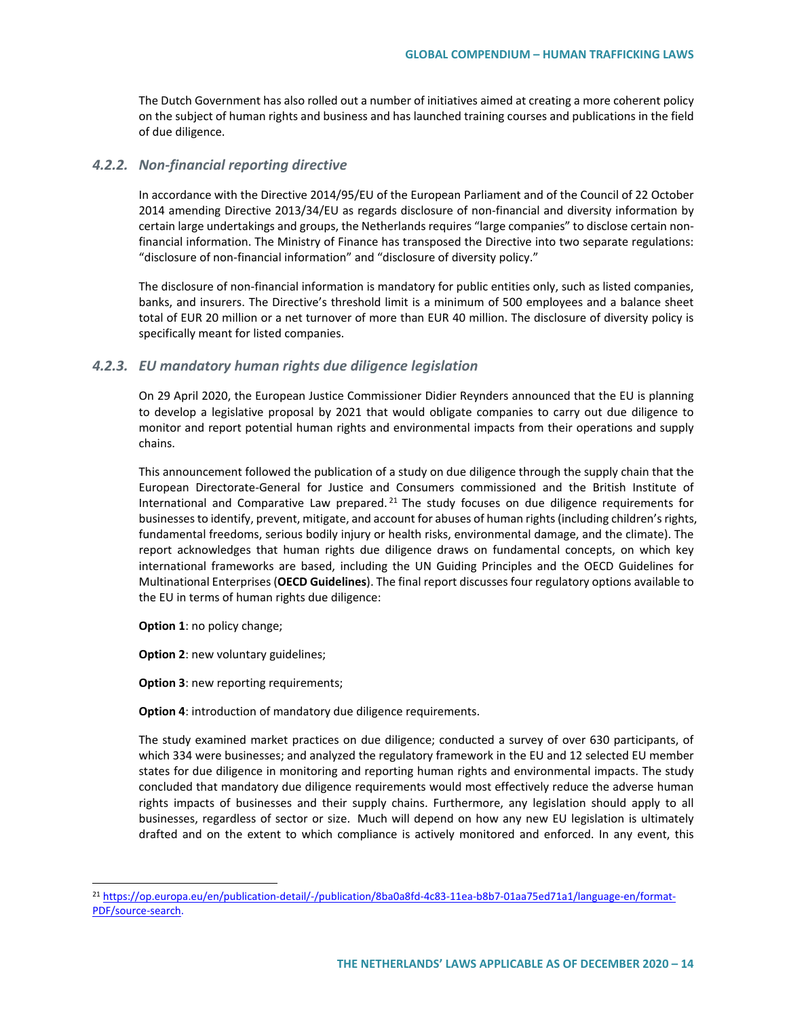The Dutch Government has also rolled out a number of initiatives aimed at creating a more coherent policy on the subject of human rights and business and has launched training courses and publications in the field of due diligence.

### *4.2.2. Non-financial reporting directive*

In accordance with the Directive 2014/95/EU of the European Parliament and of the Council of 22 October 2014 amending Directive 2013/34/EU as regards disclosure of non-financial and diversity information by certain large undertakings and groups, the Netherlands requires "large companies" to disclose certain nonfinancial information. The Ministry of Finance has transposed the Directive into two separate regulations: "disclosure of non-financial information" and "disclosure of diversity policy."

The disclosure of non-financial information is mandatory for public entities only, such as listed companies, banks, and insurers. The Directive's threshold limit is a minimum of 500 employees and a balance sheet total of EUR 20 million or a net turnover of more than EUR 40 million. The disclosure of diversity policy is specifically meant for listed companies.

### *4.2.3. EU mandatory human rights due diligence legislation*

On 29 April 2020, the European Justice Commissioner Didier Reynders announced that the EU is planning to develop a legislative proposal by 2021 that would obligate companies to carry out due diligence to monitor and report potential human rights and environmental impacts from their operations and supply chains.

This announcement followed the publication of a study on due diligence through the supply chain that the European Directorate-General for Justice and Consumers commissioned and the British Institute of International and Comparative Law prepared.<sup>[21](#page-13-0)</sup> The study focuses on due diligence requirements for businesses to identify, prevent, mitigate, and account for abuses of human rights (including children's rights, fundamental freedoms, serious bodily injury or health risks, environmental damage, and the climate). The report acknowledges that human rights due diligence draws on fundamental concepts, on which key international frameworks are based, including the UN Guiding Principles and the OECD Guidelines for Multinational Enterprises (**OECD Guidelines**). The final report discusses four regulatory options available to the EU in terms of human rights due diligence:

**Option 1**: no policy change;

**Option 2**: new voluntary guidelines;

**Option 3**: new reporting requirements;

**Option 4**: introduction of mandatory due diligence requirements.

The study examined market practices on due diligence; conducted a survey of over 630 participants, of which 334 were businesses; and analyzed the regulatory framework in the EU and 12 selected EU member states for due diligence in monitoring and reporting human rights and environmental impacts. The study concluded that mandatory due diligence requirements would most effectively reduce the adverse human rights impacts of businesses and their supply chains. Furthermore, any legislation should apply to all businesses, regardless of sector or size. Much will depend on how any new EU legislation is ultimately drafted and on the extent to which compliance is actively monitored and enforced. In any event, this

<span id="page-13-0"></span> <sup>21</sup> [https://op.europa.eu/en/publication-detail/-/publication/8ba0a8fd-4c83-11ea-b8b7-01aa75ed71a1/language-en/format-](https://op.europa.eu/en/publication-detail/-/publication/8ba0a8fd-4c83-11ea-b8b7-01aa75ed71a1/language-en/format-PDF/source-search)[PDF/source-search.](https://op.europa.eu/en/publication-detail/-/publication/8ba0a8fd-4c83-11ea-b8b7-01aa75ed71a1/language-en/format-PDF/source-search)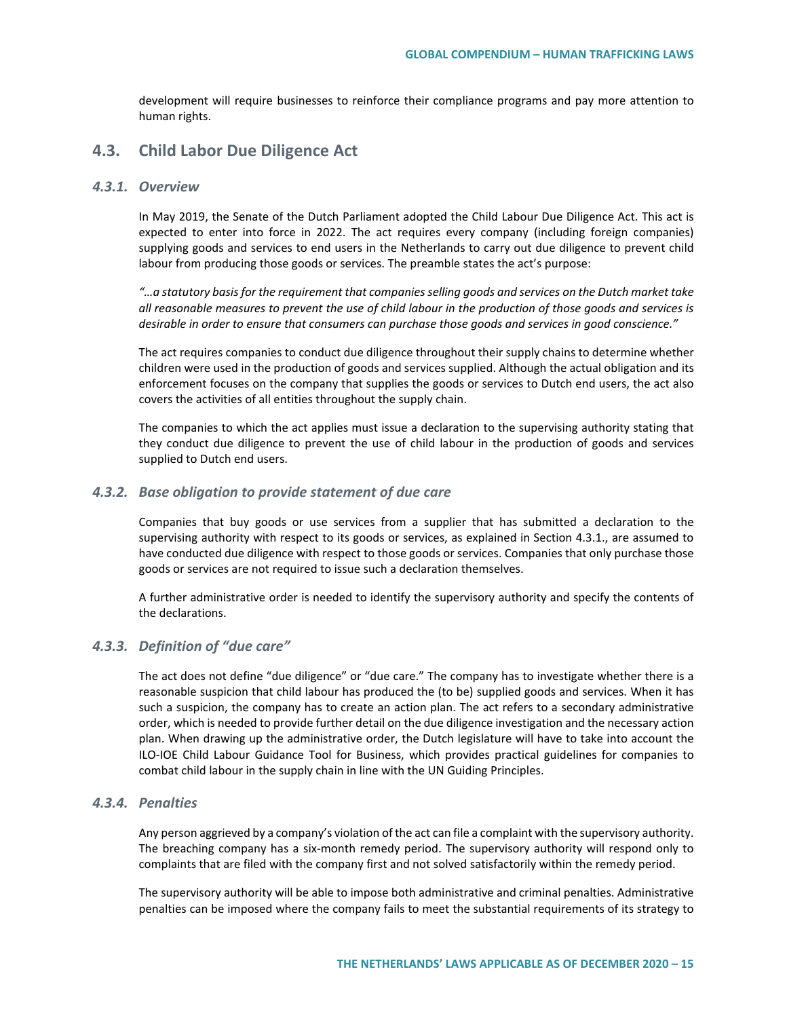development will require businesses to reinforce their compliance programs and pay more attention to human rights.

# **4.3. Child Labor Due Diligence Act**

### *4.3.1. Overview*

In May 2019, the Senate of the Dutch Parliament adopted the Child Labour Due Diligence Act. This act is expected to enter into force in 2022. The act requires every company (including foreign companies) supplying goods and services to end users in the Netherlands to carry out due diligence to prevent child labour from producing those goods or services. The preamble states the act's purpose:

*"…a statutory basis for the requirement that companies selling goods and services on the Dutch market take all reasonable measures to prevent the use of child labour in the production of those goods and services is desirable in order to ensure that consumers can purchase those goods and services in good conscience."*

The act requires companies to conduct due diligence throughout their supply chains to determine whether children were used in the production of goods and services supplied. Although the actual obligation and its enforcement focuses on the company that supplies the goods or services to Dutch end users, the act also covers the activities of all entities throughout the supply chain.

The companies to which the act applies must issue a declaration to the supervising authority stating that they conduct due diligence to prevent the use of child labour in the production of goods and services supplied to Dutch end users.

### *4.3.2. Base obligation to provide statement of due care*

Companies that buy goods or use services from a supplier that has submitted a declaration to the supervising authority with respect to its goods or services, as explained in Section 4.3.1., are assumed to have conducted due diligence with respect to those goods or services. Companies that only purchase those goods or services are not required to issue such a declaration themselves.

A further administrative order is needed to identify the supervisory authority and specify the contents of the declarations.

## *4.3.3. Definition of "due care"*

The act does not define "due diligence" or "due care." The company has to investigate whether there is a reasonable suspicion that child labour has produced the (to be) supplied goods and services. When it has such a suspicion, the company has to create an action plan. The act refers to a secondary administrative order, which is needed to provide further detail on the due diligence investigation and the necessary action plan. When drawing up the administrative order, the Dutch legislature will have to take into account the ILO-IOE Child Labour Guidance Tool for Business, which provides practical guidelines for companies to combat child labour in the supply chain in line with the UN Guiding Principles.

## *4.3.4. Penalties*

Any person aggrieved by a company's violation of the act can file a complaint with the supervisory authority. The breaching company has a six-month remedy period. The supervisory authority will respond only to complaints that are filed with the company first and not solved satisfactorily within the remedy period.

The supervisory authority will be able to impose both administrative and criminal penalties. Administrative penalties can be imposed where the company fails to meet the substantial requirements of its strategy to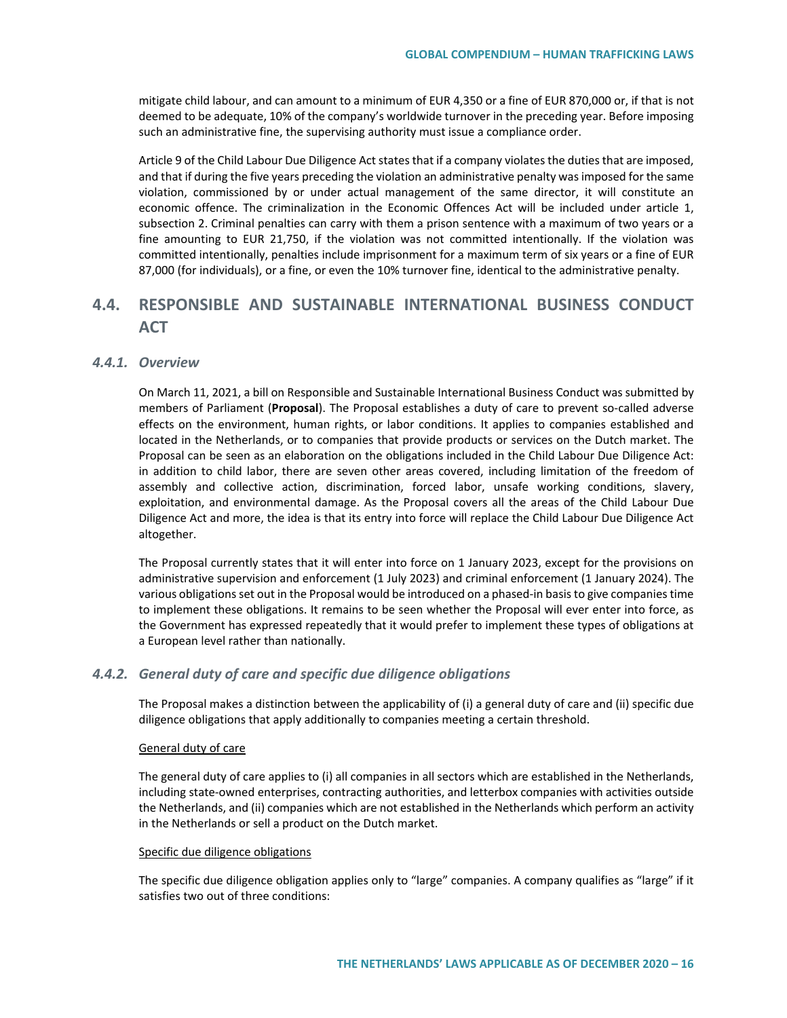mitigate child labour, and can amount to a minimum of EUR 4,350 or a fine of EUR 870,000 or, if that is not deemed to be adequate, 10% of the company's worldwide turnover in the preceding year. Before imposing such an administrative fine, the supervising authority must issue a compliance order.

Article 9 of the Child Labour Due Diligence Act states that if a company violates the duties that are imposed, and that if during the five years preceding the violation an administrative penalty was imposed for the same violation, commissioned by or under actual management of the same director, it will constitute an economic offence. The criminalization in the Economic Offences Act will be included under article 1, subsection 2. Criminal penalties can carry with them a prison sentence with a maximum of two years or a fine amounting to EUR 21,750, if the violation was not committed intentionally. If the violation was committed intentionally, penalties include imprisonment for a maximum term of six years or a fine of EUR 87,000 (for individuals), or a fine, or even the 10% turnover fine, identical to the administrative penalty.

# **4.4. RESPONSIBLE AND SUSTAINABLE INTERNATIONAL BUSINESS CONDUCT ACT**

## *4.4.1. Overview*

On March 11, 2021, a bill on Responsible and Sustainable International Business Conduct was submitted by members of Parliament (**Proposal**). The Proposal establishes a duty of care to prevent so-called adverse effects on the environment, human rights, or labor conditions. It applies to companies established and located in the Netherlands, or to companies that provide products or services on the Dutch market. The Proposal can be seen as an elaboration on the obligations included in the Child Labour Due Diligence Act: in addition to child labor, there are seven other areas covered, including limitation of the freedom of assembly and collective action, discrimination, forced labor, unsafe working conditions, slavery, exploitation, and environmental damage. As the Proposal covers all the areas of the Child Labour Due Diligence Act and more, the idea is that its entry into force will replace the Child Labour Due Diligence Act altogether.

The Proposal currently states that it will enter into force on 1 January 2023, except for the provisions on administrative supervision and enforcement (1 July 2023) and criminal enforcement (1 January 2024). The various obligations set out in the Proposal would be introduced on a phased-in basis to give companies time to implement these obligations. It remains to be seen whether the Proposal will ever enter into force, as the Government has expressed repeatedly that it would prefer to implement these types of obligations at a European level rather than nationally.

### *4.4.2. General duty of care and specific due diligence obligations*

The Proposal makes a distinction between the applicability of (i) a general duty of care and (ii) specific due diligence obligations that apply additionally to companies meeting a certain threshold.

#### General duty of care

The general duty of care applies to (i) all companies in all sectors which are established in the Netherlands, including state-owned enterprises, contracting authorities, and letterbox companies with activities outside the Netherlands, and (ii) companies which are not established in the Netherlands which perform an activity in the Netherlands or sell a product on the Dutch market.

#### Specific due diligence obligations

The specific due diligence obligation applies only to "large" companies. A company qualifies as "large" if it satisfies two out of three conditions: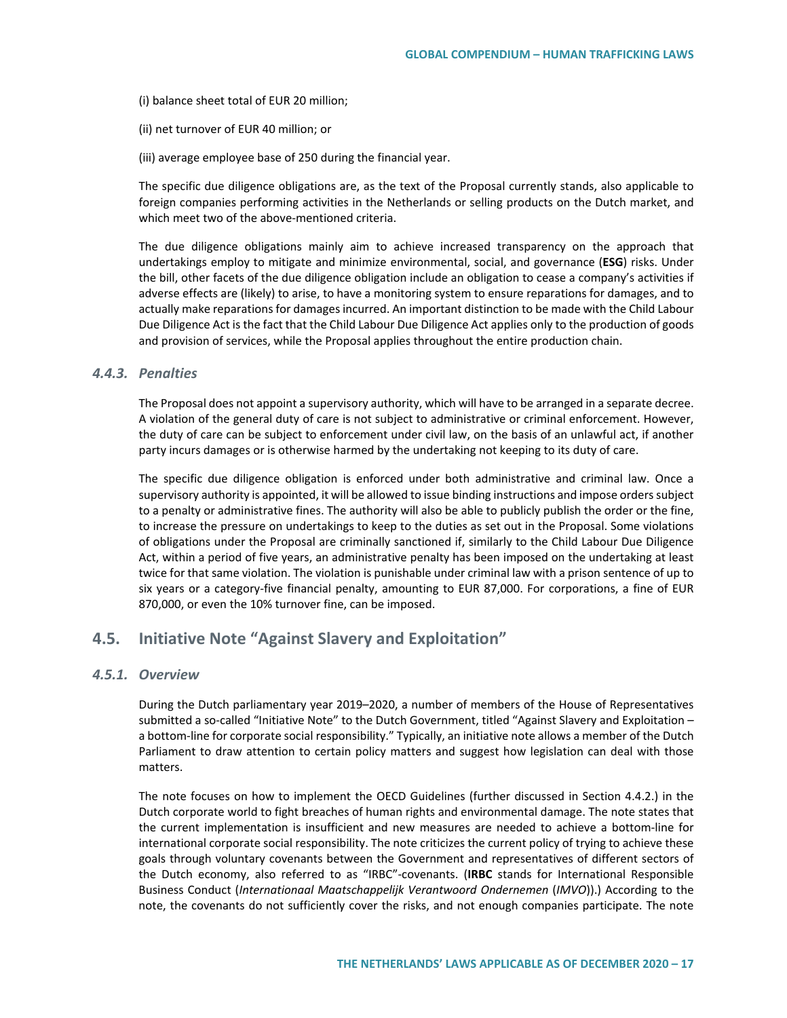(i) balance sheet total of EUR 20 million;

- (ii) net turnover of EUR 40 million; or
- (iii) average employee base of 250 during the financial year.

The specific due diligence obligations are, as the text of the Proposal currently stands, also applicable to foreign companies performing activities in the Netherlands or selling products on the Dutch market, and which meet two of the above-mentioned criteria.

The due diligence obligations mainly aim to achieve increased transparency on the approach that undertakings employ to mitigate and minimize environmental, social, and governance (**ESG**) risks. Under the bill, other facets of the due diligence obligation include an obligation to cease a company's activities if adverse effects are (likely) to arise, to have a monitoring system to ensure reparations for damages, and to actually make reparations for damages incurred. An important distinction to be made with the Child Labour Due Diligence Act is the fact that the Child Labour Due Diligence Act applies only to the production of goods and provision of services, while the Proposal applies throughout the entire production chain.

### *4.4.3. Penalties*

The Proposal does not appoint a supervisory authority, which will have to be arranged in a separate decree. A violation of the general duty of care is not subject to administrative or criminal enforcement. However, the duty of care can be subject to enforcement under civil law, on the basis of an unlawful act, if another party incurs damages or is otherwise harmed by the undertaking not keeping to its duty of care.

The specific due diligence obligation is enforced under both administrative and criminal law. Once a supervisory authority is appointed, it will be allowed to issue binding instructions and impose orders subject to a penalty or administrative fines. The authority will also be able to publicly publish the order or the fine, to increase the pressure on undertakings to keep to the duties as set out in the Proposal. Some violations of obligations under the Proposal are criminally sanctioned if, similarly to the Child Labour Due Diligence Act, within a period of five years, an administrative penalty has been imposed on the undertaking at least twice for that same violation. The violation is punishable under criminal law with a prison sentence of up to six years or a category-five financial penalty, amounting to EUR 87,000. For corporations, a fine of EUR 870,000, or even the 10% turnover fine, can be imposed.

# **4.5. Initiative Note "Against Slavery and Exploitation"**

## *4.5.1. Overview*

During the Dutch parliamentary year 2019–2020, a number of members of the House of Representatives submitted a so-called "Initiative Note" to the Dutch Government, titled "Against Slavery and Exploitation – a bottom-line for corporate social responsibility." Typically, an initiative note allows a member of the Dutch Parliament to draw attention to certain policy matters and suggest how legislation can deal with those matters.

The note focuses on how to implement the OECD Guidelines (further discussed in Section 4.4.2.) in the Dutch corporate world to fight breaches of human rights and environmental damage. The note states that the current implementation is insufficient and new measures are needed to achieve a bottom-line for international corporate social responsibility. The note criticizes the current policy of trying to achieve these goals through voluntary covenants between the Government and representatives of different sectors of the Dutch economy, also referred to as "IRBC"-covenants. (**IRBC** stands for International Responsible Business Conduct (*Internationaal Maatschappelijk Verantwoord Ondernemen* (*IMVO*)).) According to the note, the covenants do not sufficiently cover the risks, and not enough companies participate. The note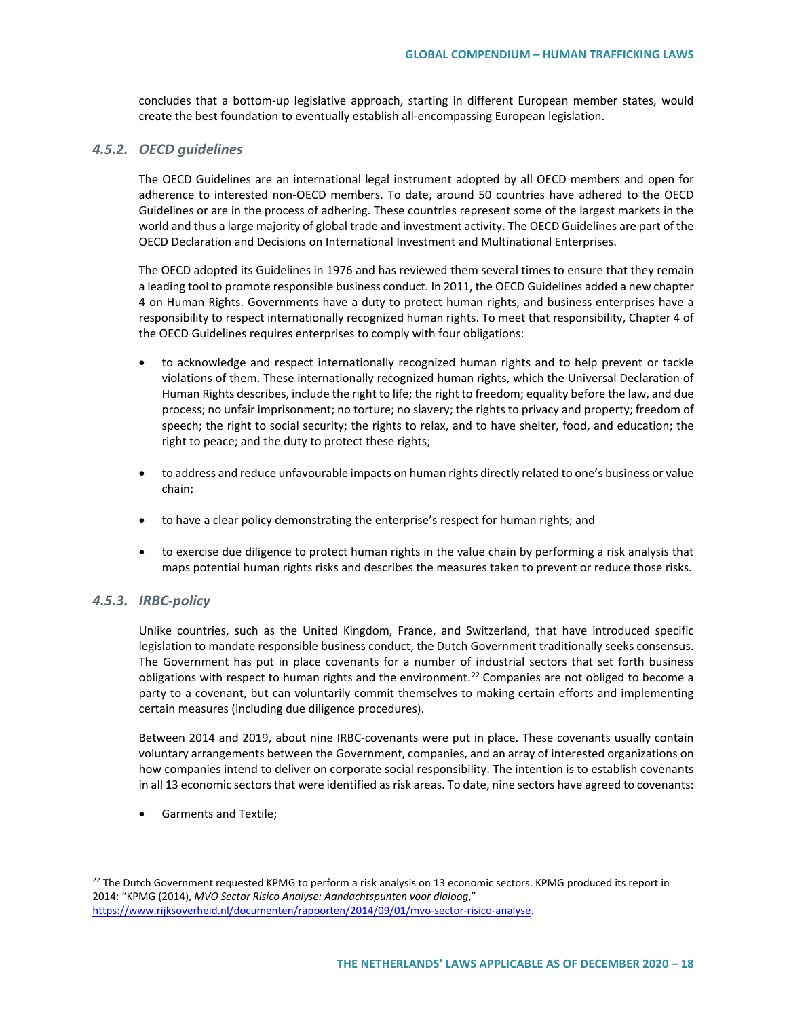concludes that a bottom-up legislative approach, starting in different European member states, would create the best foundation to eventually establish all-encompassing European legislation.

### *4.5.2. OECD guidelines*

The OECD Guidelines are an international legal instrument adopted by all OECD members and open for adherence to interested non-OECD members. To date, around 50 countries have adhered to the OECD Guidelines or are in the process of adhering. These countries represent some of the largest markets in the world and thus a large majority of global trade and investment activity. The OECD Guidelines are part of the OECD Declaration and Decisions on International Investment and Multinational Enterprises.

The OECD adopted its Guidelines in 1976 and has reviewed them several times to ensure that they remain a leading tool to promote responsible business conduct. In 2011, the OECD Guidelines added a new chapter 4 on Human Rights. Governments have a duty to protect human rights, and business enterprises have a responsibility to respect internationally recognized human rights. To meet that responsibility, Chapter 4 of the OECD Guidelines requires enterprises to comply with four obligations:

- to acknowledge and respect internationally recognized human rights and to help prevent or tackle violations of them. These internationally recognized human rights, which the Universal Declaration of Human Rights describes, include the right to life; the right to freedom; equality before the law, and due process; no unfair imprisonment; no torture; no slavery; the rights to privacy and property; freedom of speech; the right to social security; the rights to relax, and to have shelter, food, and education; the right to peace; and the duty to protect these rights;
- to address and reduce unfavourable impacts on human rights directly related to one's business or value chain;
- to have a clear policy demonstrating the enterprise's respect for human rights; and
- to exercise due diligence to protect human rights in the value chain by performing a risk analysis that maps potential human rights risks and describes the measures taken to prevent or reduce those risks.

### *4.5.3. IRBC-policy*

Unlike countries, such as the United Kingdom, France, and Switzerland, that have introduced specific legislation to mandate responsible business conduct, the Dutch Government traditionally seeks consensus. The Government has put in place covenants for a number of industrial sectors that set forth business obligations with respect to human rights and the environment.<sup>[22](#page-17-0)</sup> Companies are not obliged to become a party to a covenant, but can voluntarily commit themselves to making certain efforts and implementing certain measures (including due diligence procedures).

Between 2014 and 2019, about nine IRBC-covenants were put in place. These covenants usually contain voluntary arrangements between the Government, companies, and an array of interested organizations on how companies intend to deliver on corporate social responsibility. The intention is to establish covenants in all 13 economic sectors that were identified as risk areas. To date, nine sectors have agreed to covenants:

• Garments and Textile;

<span id="page-17-0"></span><sup>&</sup>lt;sup>22</sup> The Dutch Government requested KPMG to perform a risk analysis on 13 economic sectors. KPMG produced its report in 2014: "KPMG (2014), *MVO Sector Risico Analyse: Aandachtspunten voor dialoog*," [https://www.rijksoverheid.nl/documenten/rapporten/2014/09/01/mvo-sector-risico-analyse.](https://www.rijksoverheid.nl/documenten/rapporten/2014/09/01/mvo-sector-risico-analyse)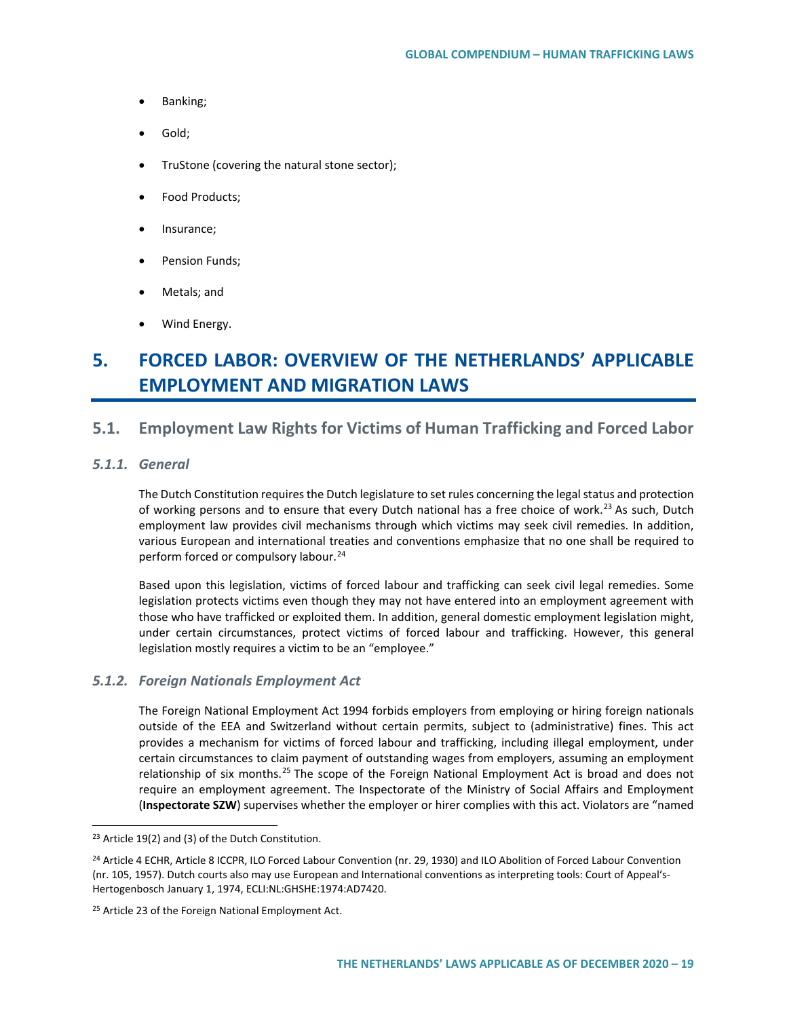- Banking;
- Gold;
- TruStone (covering the natural stone sector);
- Food Products;
- Insurance;
- Pension Funds;
- Metals; and
- Wind Energy.

# **5. FORCED LABOR: OVERVIEW OF THE NETHERLANDS' APPLICABLE EMPLOYMENT AND MIGRATION LAWS**

# **5.1. Employment Law Rights for Victims of Human Trafficking and Forced Labor**

### *5.1.1. General*

The Dutch Constitution requires the Dutch legislature to set rules concerning the legal status and protection of working persons and to ensure that every Dutch national has a free choice of work.<sup>[23](#page-18-0)</sup> As such, Dutch employment law provides civil mechanisms through which victims may seek civil remedies. In addition, various European and international treaties and conventions emphasize that no one shall be required to perform forced or compulsory labour.<sup>[24](#page-18-1)</sup>

Based upon this legislation, victims of forced labour and trafficking can seek civil legal remedies. Some legislation protects victims even though they may not have entered into an employment agreement with those who have trafficked or exploited them. In addition, general domestic employment legislation might, under certain circumstances, protect victims of forced labour and trafficking. However, this general legislation mostly requires a victim to be an "employee."

## *5.1.2. Foreign Nationals Employment Act*

The Foreign National Employment Act 1994 forbids employers from employing or hiring foreign nationals outside of the EEA and Switzerland without certain permits, subject to (administrative) fines. This act provides a mechanism for victims of forced labour and trafficking, including illegal employment, under certain circumstances to claim payment of outstanding wages from employers, assuming an employment relationship of six months.<sup>[25](#page-18-2)</sup> The scope of the Foreign National Employment Act is broad and does not require an employment agreement. The Inspectorate of the Ministry of Social Affairs and Employment (**Inspectorate SZW**) supervises whether the employer or hirer complies with this act. Violators are "named

<span id="page-18-0"></span><sup>&</sup>lt;sup>23</sup> Article 19(2) and (3) of the Dutch Constitution.

<span id="page-18-1"></span><sup>&</sup>lt;sup>24</sup> Article 4 ECHR, Article 8 ICCPR, ILO Forced Labour Convention (nr. 29, 1930) and ILO Abolition of Forced Labour Convention (nr. 105, 1957). Dutch courts also may use European and International conventions as interpreting tools: Court of Appeal's-Hertogenbosch January 1, 1974, ECLI:NL:GHSHE:1974:AD7420.

<span id="page-18-2"></span><sup>&</sup>lt;sup>25</sup> Article 23 of the Foreign National Employment Act.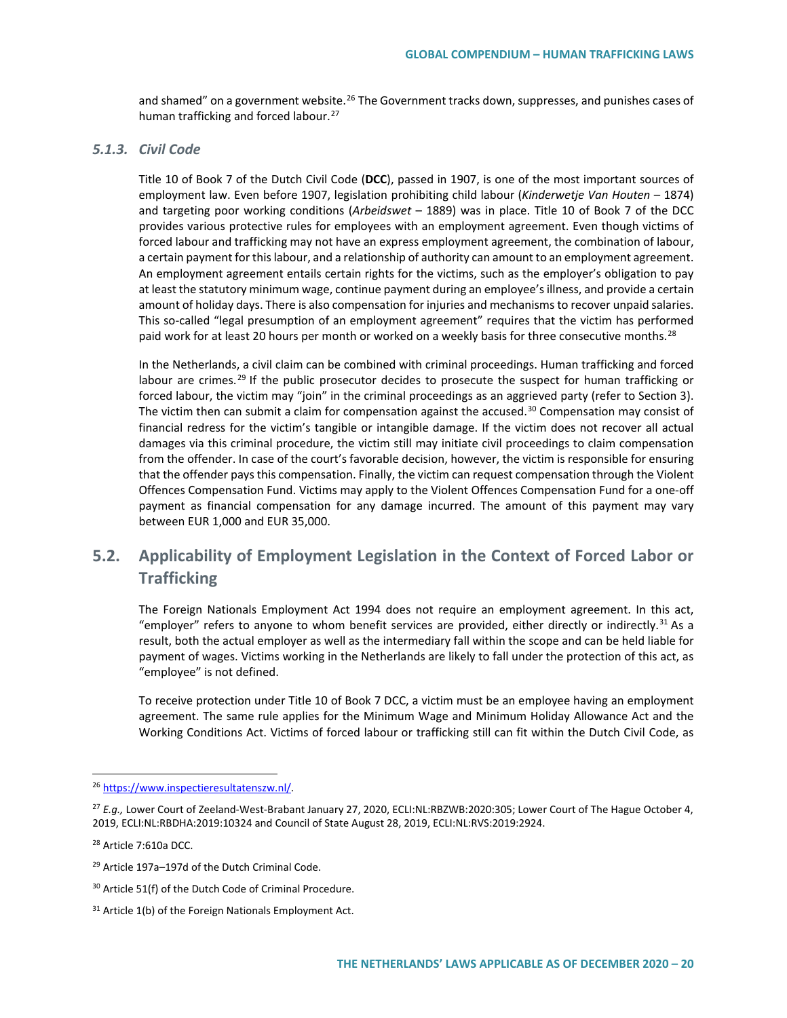and shamed" on a government website.<sup>[26](#page-19-0)</sup> The Government tracks down, suppresses, and punishes cases of human trafficking and forced labour.<sup>[27](#page-19-1)</sup>

## *5.1.3. Civil Code*

Title 10 of Book 7 of the Dutch Civil Code (**DCC**), passed in 1907, is one of the most important sources of employment law. Even before 1907, legislation prohibiting child labour (*Kinderwetje Van Houten* – 1874) and targeting poor working conditions (*Arbeidswet* – 1889) was in place. Title 10 of Book 7 of the DCC provides various protective rules for employees with an employment agreement. Even though victims of forced labour and trafficking may not have an express employment agreement, the combination of labour, a certain payment for this labour, and a relationship of authority can amount to an employment agreement. An employment agreement entails certain rights for the victims, such as the employer's obligation to pay at least the statutory minimum wage, continue payment during an employee's illness, and provide a certain amount of holiday days. There is also compensation for injuries and mechanisms to recover unpaid salaries. This so-called "legal presumption of an employment agreement" requires that the victim has performed paid work for at least 20 hours per month or worked on a weekly basis for three consecutive months.<sup>[28](#page-19-2)</sup>

In the Netherlands, a civil claim can be combined with criminal proceedings. Human trafficking and forced labour are crimes.<sup>[29](#page-19-3)</sup> If the public prosecutor decides to prosecute the suspect for human trafficking or forced labour, the victim may "join" in the criminal proceedings as an aggrieved party (refer to Section 3). The victim then can submit a claim for compensation against the accused.<sup>[30](#page-19-4)</sup> Compensation may consist of financial redress for the victim's tangible or intangible damage. If the victim does not recover all actual damages via this criminal procedure, the victim still may initiate civil proceedings to claim compensation from the offender. In case of the court's favorable decision, however, the victim is responsible for ensuring that the offender pays this compensation. Finally, the victim can request compensation through the Violent Offences Compensation Fund. Victims may apply to the Violent Offences Compensation Fund for a one-off payment as financial compensation for any damage incurred. The amount of this payment may vary between EUR 1,000 and EUR 35,000.

# **5.2. Applicability of Employment Legislation in the Context of Forced Labor or Trafficking**

The Foreign Nationals Employment Act 1994 does not require an employment agreement. In this act, "employer" refers to anyone to whom benefit services are provided, either directly or indirectly.<sup>[31](#page-19-5)</sup> As a result, both the actual employer as well as the intermediary fall within the scope and can be held liable for payment of wages. Victims working in the Netherlands are likely to fall under the protection of this act, as "employee" is not defined.

To receive protection under Title 10 of Book 7 DCC, a victim must be an employee having an employment agreement. The same rule applies for the Minimum Wage and Minimum Holiday Allowance Act and the Working Conditions Act. Victims of forced labour or trafficking still can fit within the Dutch Civil Code, as

<span id="page-19-0"></span> <sup>26</sup> [https://www.inspectieresultatenszw.nl/.](https://www.inspectieresultatenszw.nl/) 

<span id="page-19-1"></span><sup>27</sup> *E.g.,* Lower Court of Zeeland-West-Brabant January 27, 2020, ECLI:NL:RBZWB:2020:305; Lower Court of The Hague October 4, 2019, ECLI:NL:RBDHA:2019:10324 and Council of State August 28, 2019, ECLI:NL:RVS:2019:2924.

<span id="page-19-2"></span><sup>28</sup> Article 7:610a DCC.

<span id="page-19-3"></span><sup>29</sup> Article 197a–197d of the Dutch Criminal Code.

<span id="page-19-4"></span><sup>30</sup> Article 51(f) of the Dutch Code of Criminal Procedure.

<span id="page-19-5"></span><sup>&</sup>lt;sup>31</sup> Article 1(b) of the Foreign Nationals Employment Act.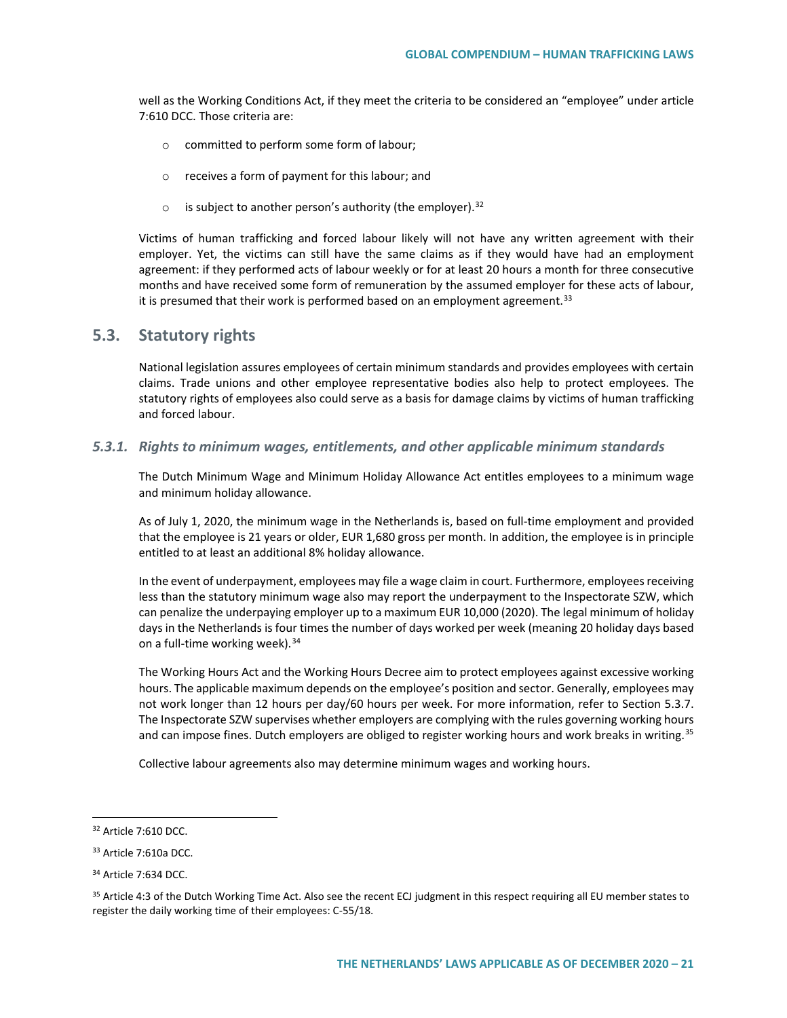well as the Working Conditions Act, if they meet the criteria to be considered an "employee" under article 7:610 DCC. Those criteria are:

- o committed to perform some form of labour;
- o receives a form of payment for this labour; and
- $\circ$  is subject to another person's authority (the employer).<sup>[32](#page-20-0)</sup>

Victims of human trafficking and forced labour likely will not have any written agreement with their employer. Yet, the victims can still have the same claims as if they would have had an employment agreement: if they performed acts of labour weekly or for at least 20 hours a month for three consecutive months and have received some form of remuneration by the assumed employer for these acts of labour, it is presumed that their work is performed based on an employment agreement.<sup>[33](#page-20-1)</sup>

## **5.3. Statutory rights**

National legislation assures employees of certain minimum standards and provides employees with certain claims. Trade unions and other employee representative bodies also help to protect employees. The statutory rights of employees also could serve as a basis for damage claims by victims of human trafficking and forced labour.

*5.3.1. Rights to minimum wages, entitlements, and other applicable minimum standards*

The Dutch Minimum Wage and Minimum Holiday Allowance Act entitles employees to a minimum wage and minimum holiday allowance.

As of July 1, 2020, the minimum wage in the Netherlands is, based on full-time employment and provided that the employee is 21 years or older, EUR 1,680 gross per month. In addition, the employee is in principle entitled to at least an additional 8% holiday allowance.

In the event of underpayment, employees may file a wage claim in court. Furthermore, employees receiving less than the statutory minimum wage also may report the underpayment to the Inspectorate SZW, which can penalize the underpaying employer up to a maximum EUR 10,000 (2020). The legal minimum of holiday days in the Netherlands is four times the number of days worked per week (meaning 20 holiday days based on a full-time working week).  $34$ 

The Working Hours Act and the Working Hours Decree aim to protect employees against excessive working hours. The applicable maximum depends on the employee's position and sector. Generally, employees may not work longer than 12 hours per day/60 hours per week. For more information, refer to Section 5.3.7. The Inspectorate SZW supervises whether employers are complying with the rules governing working hours and can impose fines. Dutch employers are obliged to register working hours and work breaks in writing.<sup>[35](#page-20-3)</sup>

Collective labour agreements also may determine minimum wages and working hours.

<span id="page-20-0"></span> <sup>32</sup> Article 7:610 DCC.

<span id="page-20-1"></span><sup>33</sup> Article 7:610a DCC.

<span id="page-20-2"></span><sup>34</sup> Article 7:634 DCC.

<span id="page-20-3"></span><sup>&</sup>lt;sup>35</sup> Article 4:3 of the Dutch Working Time Act. Also see the recent ECJ judgment in this respect requiring all EU member states to register the daily working time of their employees: C-55/18.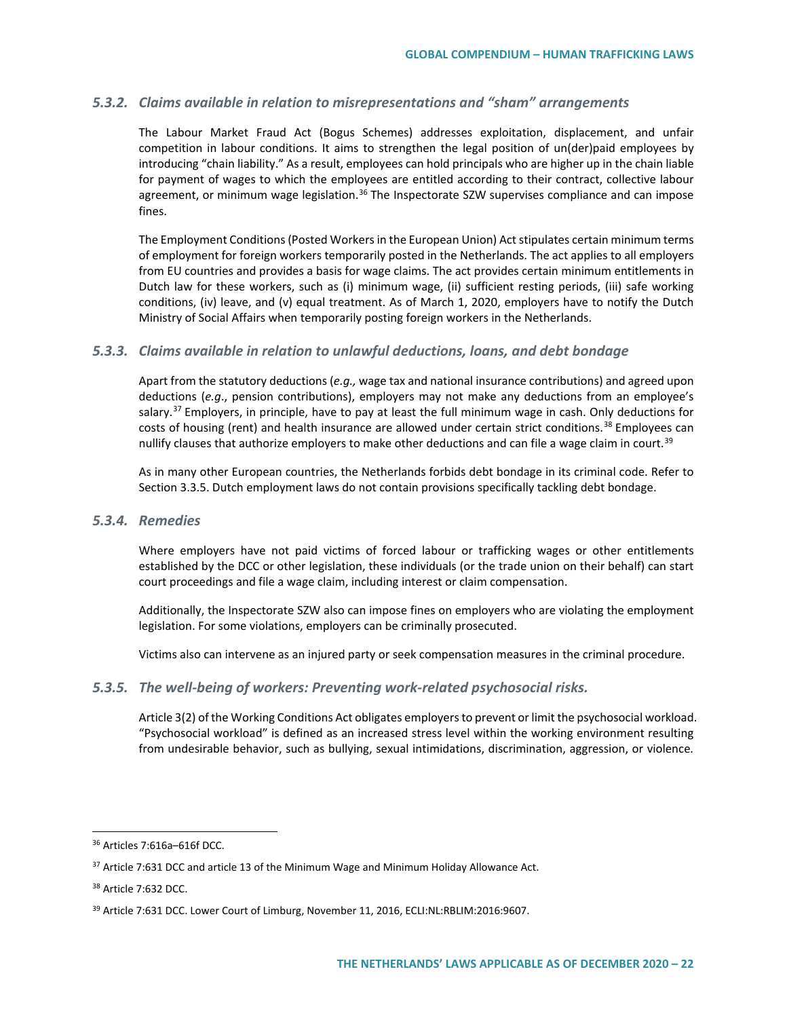## *5.3.2. Claims available in relation to misrepresentations and "sham" arrangements*

The Labour Market Fraud Act (Bogus Schemes) addresses exploitation, displacement, and unfair competition in labour conditions. It aims to strengthen the legal position of un(der)paid employees by introducing "chain liability." As a result, employees can hold principals who are higher up in the chain liable for payment of wages to which the employees are entitled according to their contract, collective labour agreement, or minimum wage legislation.<sup>[36](#page-21-0)</sup> The Inspectorate SZW supervises compliance and can impose fines.

The Employment Conditions (Posted Workers in the European Union) Act stipulates certain minimum terms of employment for foreign workers temporarily posted in the Netherlands. The act applies to all employers from EU countries and provides a basis for wage claims. The act provides certain minimum entitlements in Dutch law for these workers, such as (i) minimum wage, (ii) sufficient resting periods, (iii) safe working conditions, (iv) leave, and (v) equal treatment. As of March 1, 2020, employers have to notify the Dutch Ministry of Social Affairs when temporarily posting foreign workers in the Netherlands.

### *5.3.3. Claims available in relation to unlawful deductions, loans, and debt bondage*

Apart from the statutory deductions (*e.g.,* wage tax and national insurance contributions) and agreed upon deductions (*e.g*., pension contributions), employers may not make any deductions from an employee's salary.<sup>[37](#page-21-1)</sup> Employers, in principle, have to pay at least the full minimum wage in cash. Only deductions for costs of housing (rent) and health insurance are allowed under certain strict conditions.<sup>[38](#page-21-2)</sup> Employees can nullify clauses that authorize employers to make other deductions and can file a wage claim in court.<sup>[39](#page-21-3)</sup>

As in many other European countries, the Netherlands forbids debt bondage in its criminal code. Refer to Section 3.3.5. Dutch employment laws do not contain provisions specifically tackling debt bondage.

### *5.3.4. Remedies*

Where employers have not paid victims of forced labour or trafficking wages or other entitlements established by the DCC or other legislation, these individuals (or the trade union on their behalf) can start court proceedings and file a wage claim, including interest or claim compensation.

Additionally, the Inspectorate SZW also can impose fines on employers who are violating the employment legislation. For some violations, employers can be criminally prosecuted.

Victims also can intervene as an injured party or seek compensation measures in the criminal procedure.

### *5.3.5. The well-being of workers: Preventing work-related psychosocial risks.*

Article 3(2) of the Working Conditions Act obligates employers to prevent or limit the psychosocial workload. "Psychosocial workload" is defined as an increased stress level within the working environment resulting from undesirable behavior, such as bullying, sexual intimidations, discrimination, aggression, or violence*.*

<span id="page-21-0"></span> <sup>36</sup> Articles 7:616a–616f DCC.

<span id="page-21-1"></span><sup>&</sup>lt;sup>37</sup> Article 7:631 DCC and article 13 of the Minimum Wage and Minimum Holiday Allowance Act.

<span id="page-21-2"></span><sup>38</sup> Article 7:632 DCC.

<span id="page-21-3"></span><sup>&</sup>lt;sup>39</sup> Article 7:631 DCC. Lower Court of Limburg, November 11, 2016, ECLI:NL:RBLIM:2016:9607.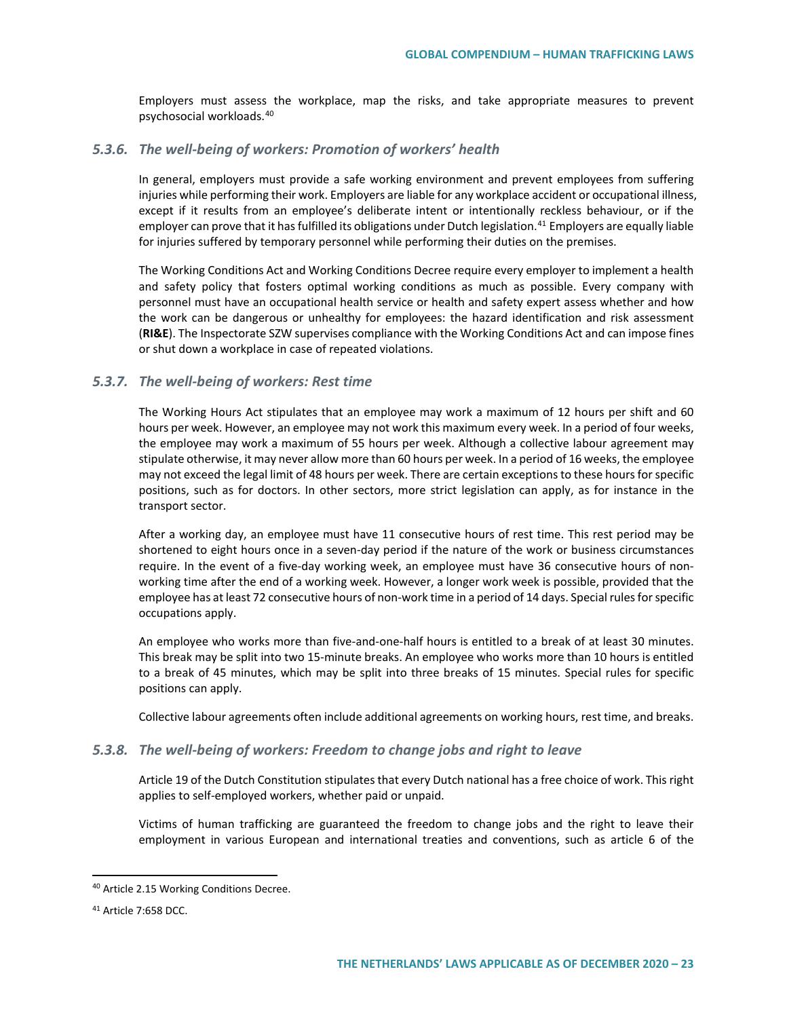Employers must assess the workplace, map the risks, and take appropriate measures to prevent psychosocial workloads.[40](#page-22-0)

## *5.3.6. The well-being of workers: Promotion of workers' health*

In general, employers must provide a safe working environment and prevent employees from suffering injuries while performing their work. Employers are liable for any workplace accident or occupational illness, except if it results from an employee's deliberate intent or intentionally reckless behaviour, or if the employer can prove that it has fulfilled its obligations under Dutch legislation.<sup>[41](#page-22-1)</sup> Employers are equally liable for injuries suffered by temporary personnel while performing their duties on the premises.

The Working Conditions Act and Working Conditions Decree require every employer to implement a health and safety policy that fosters optimal working conditions as much as possible. Every company with personnel must have an occupational health service or health and safety expert assess whether and how the work can be dangerous or unhealthy for employees: the hazard identification and risk assessment (**RI&E**). The Inspectorate SZW supervises compliance with the Working Conditions Act and can impose fines or shut down a workplace in case of repeated violations.

### *5.3.7. The well-being of workers: Rest time*

The Working Hours Act stipulates that an employee may work a maximum of 12 hours per shift and 60 hours per week. However, an employee may not work this maximum every week. In a period of four weeks, the employee may work a maximum of 55 hours per week. Although a collective labour agreement may stipulate otherwise, it may never allow more than 60 hours per week. In a period of 16 weeks, the employee may not exceed the legal limit of 48 hours per week. There are certain exceptions to these hours for specific positions, such as for doctors. In other sectors, more strict legislation can apply, as for instance in the transport sector.

After a working day, an employee must have 11 consecutive hours of rest time. This rest period may be shortened to eight hours once in a seven-day period if the nature of the work or business circumstances require. In the event of a five-day working week, an employee must have 36 consecutive hours of nonworking time after the end of a working week. However, a longer work week is possible, provided that the employee has at least 72 consecutive hours of non-work time in a period of 14 days. Special rules for specific occupations apply.

An employee who works more than five-and-one-half hours is entitled to a break of at least 30 minutes. This break may be split into two 15-minute breaks. An employee who works more than 10 hours is entitled to a break of 45 minutes, which may be split into three breaks of 15 minutes. Special rules for specific positions can apply.

Collective labour agreements often include additional agreements on working hours, rest time, and breaks.

### *5.3.8. The well-being of workers: Freedom to change jobs and right to leave*

Article 19 of the Dutch Constitution stipulates that every Dutch national has a free choice of work. This right applies to self-employed workers, whether paid or unpaid.

Victims of human trafficking are guaranteed the freedom to change jobs and the right to leave their employment in various European and international treaties and conventions, such as article 6 of the

<span id="page-22-0"></span> <sup>40</sup> Article 2.15 Working Conditions Decree.

<span id="page-22-1"></span><sup>41</sup> Article 7:658 DCC.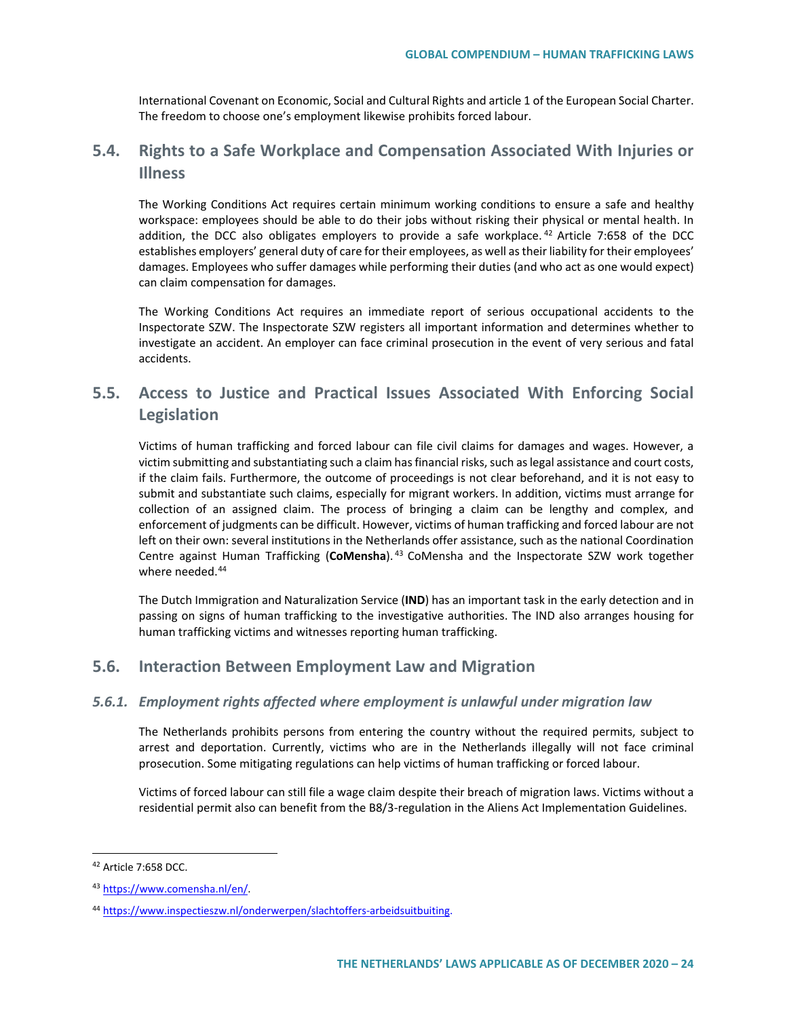International Covenant on Economic, Social and Cultural Rights and article 1 of the European Social Charter. The freedom to choose one's employment likewise prohibits forced labour.

# **5.4. Rights to a Safe Workplace and Compensation Associated With Injuries or Illness**

The Working Conditions Act requires certain minimum working conditions to ensure a safe and healthy workspace: employees should be able to do their jobs without risking their physical or mental health. In addition, the DCC also obligates employers to provide a safe workplace.<sup>[42](#page-23-0)</sup> Article 7:658 of the DCC establishes employers' general duty of care for their employees, as well as their liability for their employees' damages. Employees who suffer damages while performing their duties (and who act as one would expect) can claim compensation for damages.

The Working Conditions Act requires an immediate report of serious occupational accidents to the Inspectorate SZW. The Inspectorate SZW registers all important information and determines whether to investigate an accident. An employer can face criminal prosecution in the event of very serious and fatal accidents.

# **5.5. Access to Justice and Practical Issues Associated With Enforcing Social Legislation**

Victims of human trafficking and forced labour can file civil claims for damages and wages. However, a victim submitting and substantiating such a claim has financial risks, such as legal assistance and court costs, if the claim fails. Furthermore, the outcome of proceedings is not clear beforehand, and it is not easy to submit and substantiate such claims, especially for migrant workers. In addition, victims must arrange for collection of an assigned claim. The process of bringing a claim can be lengthy and complex, and enforcement of judgments can be difficult. However, victims of human trafficking and forced labour are not left on their own: several institutions in the Netherlands offer assistance, such as the national Coordination Centre against Human Trafficking (**CoMensha**). [43](#page-23-1) CoMensha and the Inspectorate SZW work together where needed.<sup>[44](#page-23-2)</sup>

The Dutch Immigration and Naturalization Service (**IND**) has an important task in the early detection and in passing on signs of human trafficking to the investigative authorities. The IND also arranges housing for human trafficking victims and witnesses reporting human trafficking.

# **5.6. Interaction Between Employment Law and Migration**

## *5.6.1. Employment rights affected where employment is unlawful under migration law*

The Netherlands prohibits persons from entering the country without the required permits, subject to arrest and deportation. Currently, victims who are in the Netherlands illegally will not face criminal prosecution. Some mitigating regulations can help victims of human trafficking or forced labour.

Victims of forced labour can still file a wage claim despite their breach of migration laws. Victims without a residential permit also can benefit from the B8/3-regulation in the Aliens Act Implementation Guidelines.

<span id="page-23-0"></span> <sup>42</sup> Article 7:658 DCC.

<span id="page-23-1"></span><sup>43</sup> [https://www.comensha.nl/en/.](https://www.comensha.nl/en/)

<span id="page-23-2"></span><sup>44</sup> [https://www.inspectieszw.nl/onderwerpen/slachtoffers-arbeidsuitbuiting.](https://www.inspectieszw.nl/onderwerpen/slachtoffers-arbeidsuitbuiting)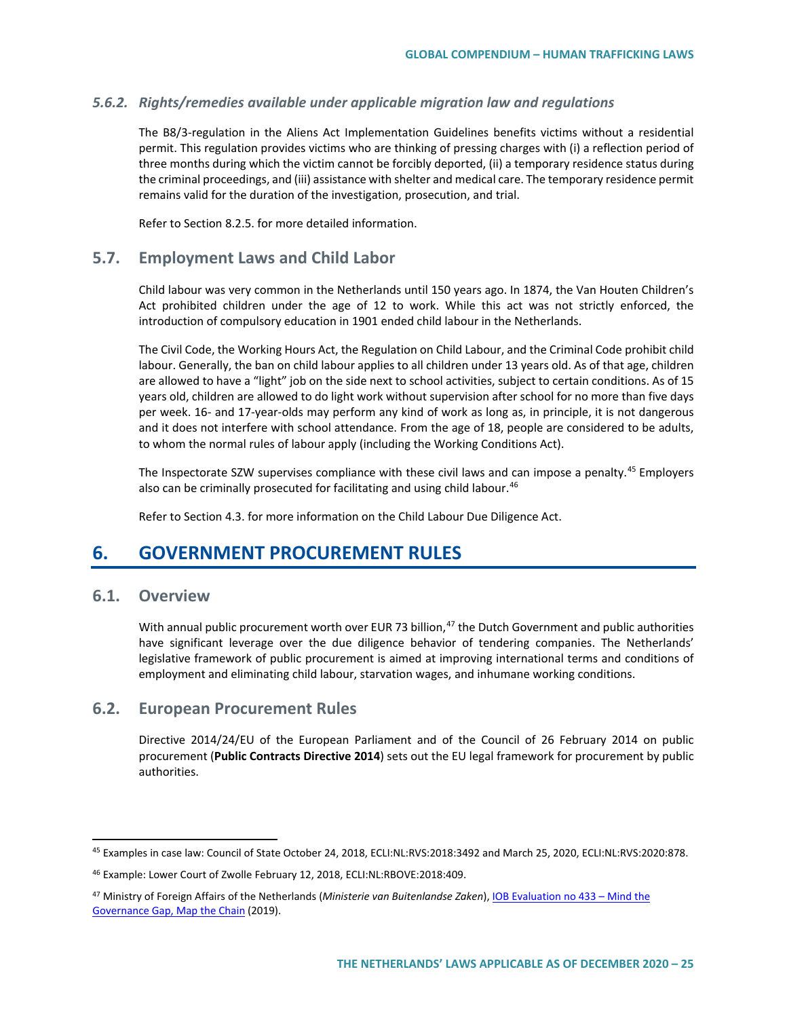## *5.6.2. Rights/remedies available under applicable migration law and regulations*

The B8/3-regulation in the Aliens Act Implementation Guidelines benefits victims without a residential permit. This regulation provides victims who are thinking of pressing charges with (i) a reflection period of three months during which the victim cannot be forcibly deported, (ii) a temporary residence status during the criminal proceedings, and (iii) assistance with shelter and medical care. The temporary residence permit remains valid for the duration of the investigation, prosecution, and trial.

Refer to Section 8.2.5. for more detailed information.

# **5.7. Employment Laws and Child Labor**

Child labour was very common in the Netherlands until 150 years ago. In 1874, the Van Houten Children's Act prohibited children under the age of 12 to work. While this act was not strictly enforced, the introduction of compulsory education in 1901 ended child labour in the Netherlands.

The Civil Code, the Working Hours Act, the Regulation on Child Labour, and the Criminal Code prohibit child labour. Generally, the ban on child labour applies to all children under 13 years old. As of that age, children are allowed to have a "light" job on the side next to school activities, subject to certain conditions. As of 15 years old, children are allowed to do light work without supervision after school for no more than five days per week. 16- and 17-year-olds may perform any kind of work as long as, in principle, it is not dangerous and it does not interfere with school attendance. From the age of 18, people are considered to be adults, to whom the normal rules of labour apply (including the Working Conditions Act).

The Inspectorate SZW supervises compliance with these civil laws and can impose a penalty.<sup>[45](#page-24-0)</sup> Employers also can be criminally prosecuted for facilitating and using child labour.<sup>[46](#page-24-1)</sup>

Refer to Section 4.3. for more information on the Child Labour Due Diligence Act.

# **6. GOVERNMENT PROCUREMENT RULES**

# **6.1. Overview**

With annual public procurement worth over EUR 73 billion,<sup>[47](#page-24-2)</sup> the Dutch Government and public authorities have significant leverage over the due diligence behavior of tendering companies. The Netherlands' legislative framework of public procurement is aimed at improving international terms and conditions of employment and eliminating child labour, starvation wages, and inhumane working conditions.

# **6.2. European Procurement Rules**

Directive 2014/24/EU of the European Parliament and of the Council of 26 February 2014 on public procurement (**Public Contracts Directive 2014**) sets out the EU legal framework for procurement by public authorities.

<span id="page-24-0"></span><sup>45</sup> Examples in case law: Council of State October 24, 2018, ECLI:NL:RVS:2018:3492 and March 25, 2020, ECLI:NL:RVS:2020:878.

<span id="page-24-1"></span><sup>46</sup> Example: Lower Court of Zwolle February 12, 2018, ECLI:NL:RBOVE:2018:409.

<span id="page-24-2"></span><sup>47</sup> Ministry of Foreign Affairs of the Netherlands (*Ministerie van Buitenlandse Zaken*)[, IOB Evaluation no 433 –](https://english.iob-evaluatie.nl/publications/evaluations/2019/09/01/433-%E2%80%93-iob-%E2%80%93-evaluation-of-the-dutch-governments-policy-on-international-responsible-business-conduct-2012-2018-%E2%80%93-mind-the-governance-gap-map-the-chain) Mind the [Governance Gap, Map the Chain](https://english.iob-evaluatie.nl/publications/evaluations/2019/09/01/433-%E2%80%93-iob-%E2%80%93-evaluation-of-the-dutch-governments-policy-on-international-responsible-business-conduct-2012-2018-%E2%80%93-mind-the-governance-gap-map-the-chain) (2019).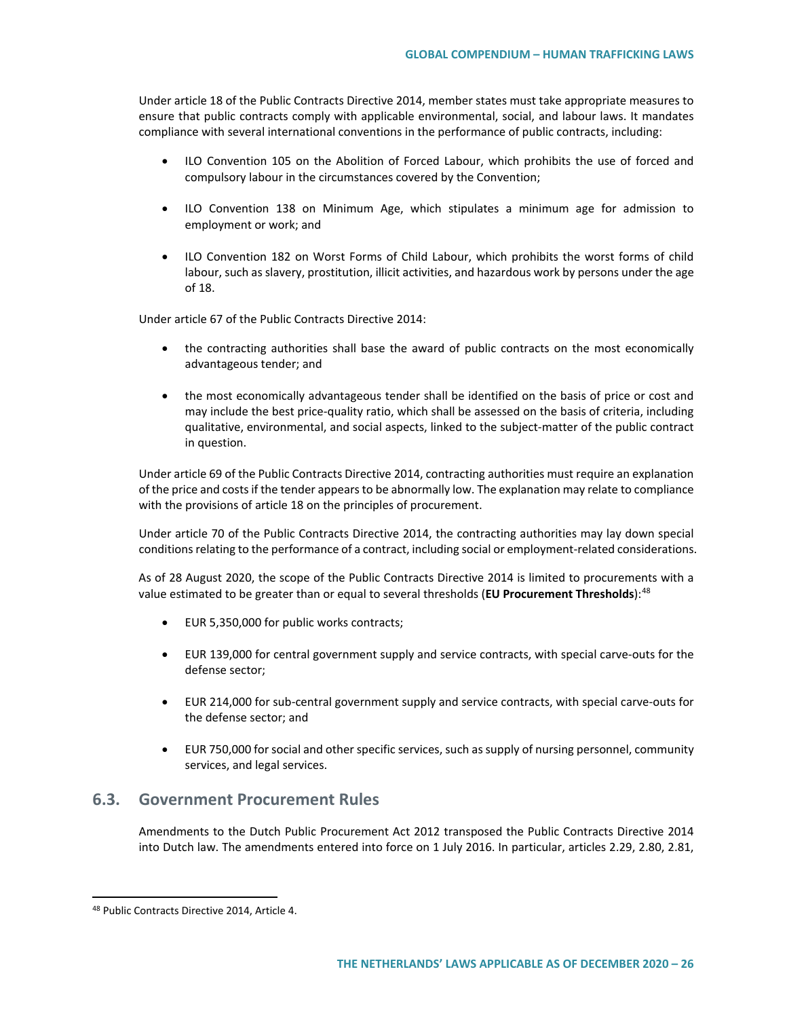Under article 18 of the Public Contracts Directive 2014, member states must take appropriate measures to ensure that public contracts comply with applicable environmental, social, and labour laws. It mandates compliance with several international conventions in the performance of public contracts, including:

- ILO Convention 105 on the Abolition of Forced Labour, which prohibits the use of forced and compulsory labour in the circumstances covered by the Convention;
- ILO Convention 138 on Minimum Age, which stipulates a minimum age for admission to employment or work; and
- ILO Convention 182 on Worst Forms of Child Labour, which prohibits the worst forms of child labour, such as slavery, prostitution, illicit activities, and hazardous work by persons under the age of 18.

Under article 67 of the Public Contracts Directive 2014:

- the contracting authorities shall base the award of public contracts on the most economically advantageous tender; and
- the most economically advantageous tender shall be identified on the basis of price or cost and may include the best price-quality ratio, which shall be assessed on the basis of criteria, including qualitative, environmental, and social aspects, linked to the subject-matter of the public contract in question.

Under article 69 of the Public Contracts Directive 2014, contracting authorities must require an explanation of the price and costs if the tender appears to be abnormally low. The explanation may relate to compliance with the provisions of article 18 on the principles of procurement.

Under article 70 of the Public Contracts Directive 2014, the contracting authorities may lay down special conditions relating to the performance of a contract, including social or employment-related considerations.

As of 28 August 2020, the scope of the Public Contracts Directive 2014 is limited to procurements with a value estimated to be greater than or equal to several thresholds (**EU Procurement Thresholds**):[48](#page-25-0)

- EUR 5,350,000 for public works contracts;
- EUR 139,000 for central government supply and service contracts, with special carve-outs for the defense sector;
- EUR 214,000 for sub-central government supply and service contracts, with special carve-outs for the defense sector; and
- EUR 750,000 for social and other specific services, such as supply of nursing personnel, community services, and legal services.

# **6.3. Government Procurement Rules**

Amendments to the Dutch Public Procurement Act 2012 transposed the Public Contracts Directive 2014 into Dutch law. The amendments entered into force on 1 July 2016. In particular, articles 2.29, 2.80, 2.81,

<span id="page-25-0"></span> <sup>48</sup> Public Contracts Directive 2014, Article 4.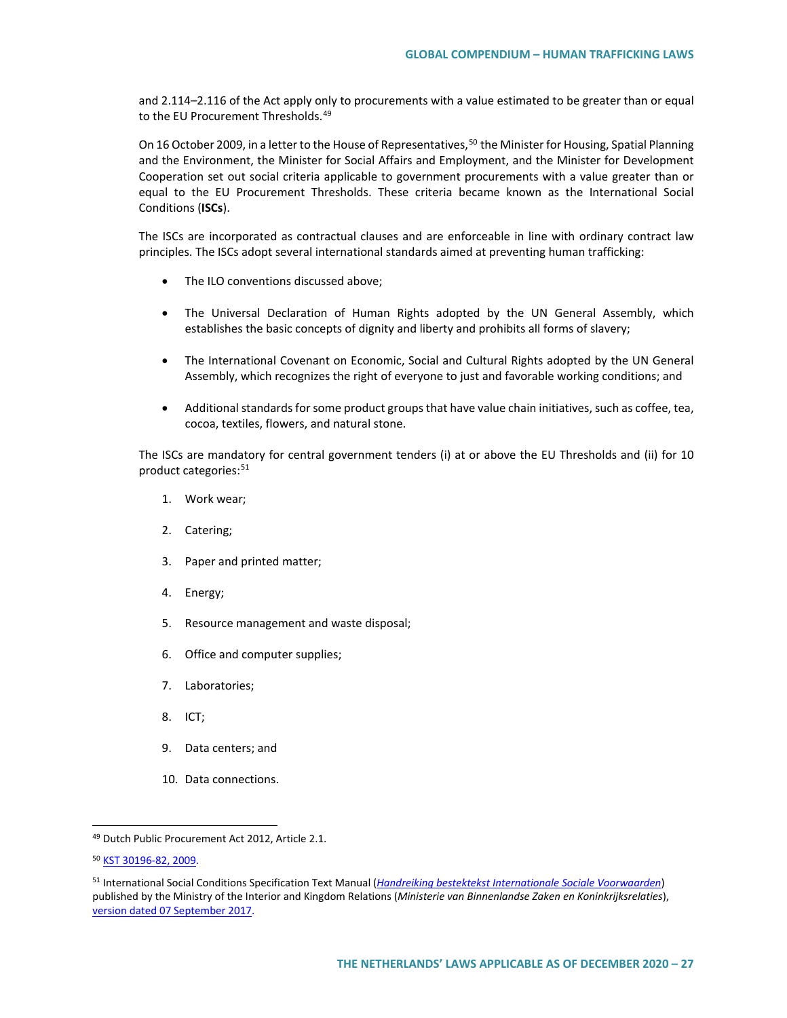and 2.114–2.116 of the Act apply only to procurements with a value estimated to be greater than or equal to the FU Procurement Thresholds.<sup>[49](#page-26-0)</sup>

On 16 October 2009, in a letter to the House of Representatives,<sup>[50](#page-26-1)</sup> the Minister for Housing, Spatial Planning and the Environment, the Minister for Social Affairs and Employment, and the Minister for Development Cooperation set out social criteria applicable to government procurements with a value greater than or equal to the EU Procurement Thresholds. These criteria became known as the International Social Conditions (**ISCs**).

The ISCs are incorporated as contractual clauses and are enforceable in line with ordinary contract law principles. The ISCs adopt several international standards aimed at preventing human trafficking:

- The ILO conventions discussed above;
- The Universal Declaration of Human Rights adopted by the UN General Assembly, which establishes the basic concepts of dignity and liberty and prohibits all forms of slavery;
- The International Covenant on Economic, Social and Cultural Rights adopted by the UN General Assembly, which recognizes the right of everyone to just and favorable working conditions; and
- Additional standards for some product groups that have value chain initiatives, such as coffee, tea, cocoa, textiles, flowers, and natural stone.

The ISCs are mandatory for central government tenders (i) at or above the EU Thresholds and (ii) for 10 product categories:<sup>[51](#page-26-2)</sup>

- 1. Work wear;
- 2. Catering;
- 3. Paper and printed matter;
- 4. Energy;
- 5. Resource management and waste disposal;
- 6. Office and computer supplies;
- 7. Laboratories;
- 8. ICT;
- 9. Data centers; and
- 10. Data connections.

<span id="page-26-0"></span> <sup>49</sup> Dutch Public Procurement Act 2012, Article 2.1.

<span id="page-26-1"></span><sup>50</sup> [KST 30196-82, 2009.](https://zoek.officielebekendmakingen.nl/kst-30196-82.html#v2.1)

<span id="page-26-2"></span><sup>51</sup> International Social Conditions Specification Text Manual (*[Handreiking bestektekst Internationale Sociale Voorwaarden](https://www.pianoo.nl/nl/document/14444/bestekteksten-internationale-sociale-voorwaarden)*) published by the Ministry of the Interior and Kingdom Relations (*Ministerie van Binnenlandse Zaken en Koninkrijksrelaties*), [version dated 07 September 2017.](https://www.pianoo.nl/sites/default/files/documents/documents/bestektekstisv-september2017-v2.docx)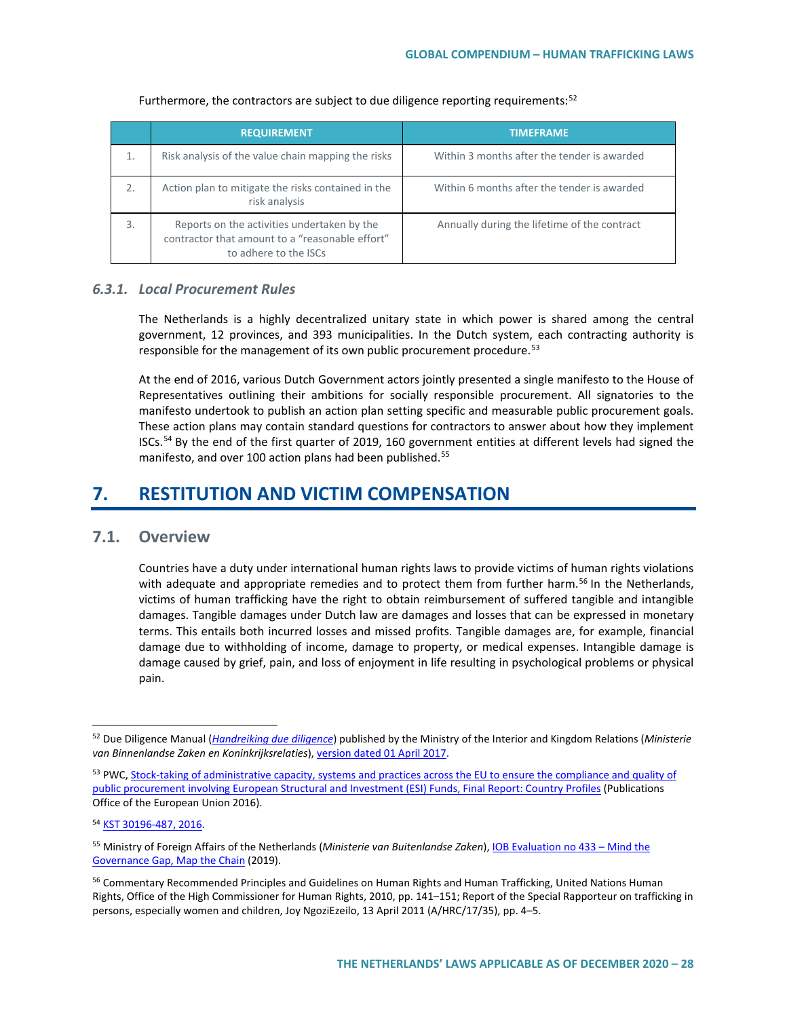|    | <b>REQUIREMENT</b>                                                                                                      | <b>TIMEFRAME</b>                             |
|----|-------------------------------------------------------------------------------------------------------------------------|----------------------------------------------|
| 1. | Risk analysis of the value chain mapping the risks                                                                      | Within 3 months after the tender is awarded  |
| 2. | Action plan to mitigate the risks contained in the<br>risk analysis                                                     | Within 6 months after the tender is awarded  |
| 3. | Reports on the activities undertaken by the<br>contractor that amount to a "reasonable effort"<br>to adhere to the ISCs | Annually during the lifetime of the contract |

### Furthermore, the contractors are subject to due diligence reporting requirements: $52$

# *6.3.1. Local Procurement Rules*

The Netherlands is a highly decentralized unitary state in which power is shared among the central government, 12 provinces, and 393 municipalities. In the Dutch system, each contracting authority is responsible for the management of its own public procurement procedure.<sup>[53](#page-27-1)</sup>

At the end of 2016, various Dutch Government actors jointly presented a single manifesto to the House of Representatives outlining their ambitions for socially responsible procurement. All signatories to the manifesto undertook to publish an action plan setting specific and measurable public procurement goals. These action plans may contain standard questions for contractors to answer about how they implement ISCs.<sup>[54](#page-27-2)</sup> By the end of the first quarter of 2019, 160 government entities at different levels had signed the manifesto, and over 100 action plans had been published.<sup>55</sup>

# **7. RESTITUTION AND VICTIM COMPENSATION**

# **7.1. Overview**

Countries have a duty under international human rights laws to provide victims of human rights violations with adequate and appropriate remedies and to protect them from further harm.<sup>[56](#page-27-4)</sup> In the Netherlands, victims of human trafficking have the right to obtain reimbursement of suffered tangible and intangible damages. Tangible damages under Dutch law are damages and losses that can be expressed in monetary terms. This entails both incurred losses and missed profits. Tangible damages are, for example, financial damage due to withholding of income, damage to property, or medical expenses. Intangible damage is damage caused by grief, pain, and loss of enjoyment in life resulting in psychological problems or physical pain.

<span id="page-27-0"></span> <sup>52</sup> Due Diligence Manual (*[Handreiking due diligence](https://www.pianoo.nl/nl/document/14142/handreiking-due-diligence-voor-bedrijven)*) published by the Ministry of the Interior and Kingdom Relations (*Ministerie van Binnenlandse Zaken en Koninkrijksrelaties*)[, version dated 01 April 2017.](https://www.pianoo.nl/sites/default/files/documents/documents/duediligence-handreikingvoorbedrijven-mei2017.pdf)

<span id="page-27-1"></span><sup>53</sup> PWC, Stock-taking of administrative capacity, systems and practices across the EU to ensure the compliance and quality of [public procurement involving European Structural and Investment \(ESI\) Funds, Final Report: Country Profiles](https://op.europa.eu/en/publication-detail/-/publication/60bf8ebc-0204-11e6-b713-01aa75ed71a1) (Publications Office of the European Union 2016).

<span id="page-27-2"></span><sup>54</sup> KST 30196-487, 2016.

<span id="page-27-3"></span><sup>55</sup> Ministry of Foreign Affairs of the Netherlands (*Ministerie van Buitenlandse Zaken*)[, IOB Evaluation no 433 –](https://english.iob-evaluatie.nl/publications/evaluations/2019/09/01/433-%E2%80%93-iob-%E2%80%93-evaluation-of-the-dutch-governments-policy-on-international-responsible-business-conduct-2012-2018-%E2%80%93-mind-the-governance-gap-map-the-chain) Mind the [Governance Gap, Map the Chain](https://english.iob-evaluatie.nl/publications/evaluations/2019/09/01/433-%E2%80%93-iob-%E2%80%93-evaluation-of-the-dutch-governments-policy-on-international-responsible-business-conduct-2012-2018-%E2%80%93-mind-the-governance-gap-map-the-chain) (2019).

<span id="page-27-4"></span><sup>&</sup>lt;sup>56</sup> Commentary Recommended Principles and Guidelines on Human Rights and Human Trafficking, United Nations Human Rights, Office of the High Commissioner for Human Rights, 2010, pp. 141–151; Report of the Special Rapporteur on trafficking in persons, especially women and children, Joy NgoziEzeilo, 13 April 2011 (A/HRC/17/35), pp. 4–5.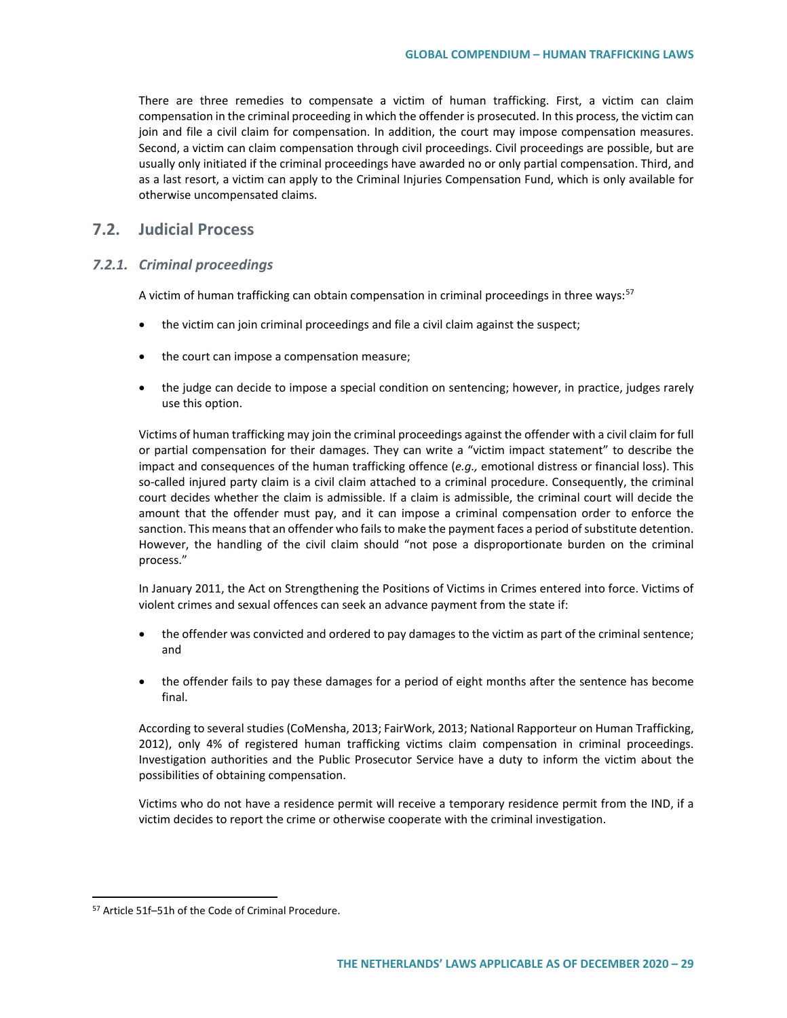There are three remedies to compensate a victim of human trafficking. First, a victim can claim compensation in the criminal proceeding in which the offender is prosecuted. In this process, the victim can join and file a civil claim for compensation. In addition, the court may impose compensation measures. Second, a victim can claim compensation through civil proceedings. Civil proceedings are possible, but are usually only initiated if the criminal proceedings have awarded no or only partial compensation. Third, and as a last resort, a victim can apply to the Criminal Injuries Compensation Fund, which is only available for otherwise uncompensated claims.

# **7.2. Judicial Process**

### *7.2.1. Criminal proceedings*

A victim of human trafficking can obtain compensation in criminal proceedings in three ways:<sup>[57](#page-28-0)</sup>

- the victim can join criminal proceedings and file a civil claim against the suspect;
- the court can impose a compensation measure;
- the judge can decide to impose a special condition on sentencing; however, in practice, judges rarely use this option.

Victims of human trafficking may join the criminal proceedings against the offender with a civil claim for full or partial compensation for their damages. They can write a "victim impact statement" to describe the impact and consequences of the human trafficking offence (*e.g.,* emotional distress or financial loss). This so-called injured party claim is a civil claim attached to a criminal procedure. Consequently, the criminal court decides whether the claim is admissible. If a claim is admissible, the criminal court will decide the amount that the offender must pay, and it can impose a criminal compensation order to enforce the sanction. This means that an offender who fails to make the payment faces a period of substitute detention. However, the handling of the civil claim should "not pose a disproportionate burden on the criminal process."

In January 2011, the Act on Strengthening the Positions of Victims in Crimes entered into force. Victims of violent crimes and sexual offences can seek an advance payment from the state if:

- the offender was convicted and ordered to pay damages to the victim as part of the criminal sentence; and
- the offender fails to pay these damages for a period of eight months after the sentence has become final.

According to several studies (CoMensha, 2013; FairWork, 2013; National Rapporteur on Human Trafficking, 2012), only 4% of registered human trafficking victims claim compensation in criminal proceedings. Investigation authorities and the Public Prosecutor Service have a duty to inform the victim about the possibilities of obtaining compensation.

Victims who do not have a residence permit will receive a temporary residence permit from the IND, if a victim decides to report the crime or otherwise cooperate with the criminal investigation.

<span id="page-28-0"></span> <sup>57</sup> Article 51f–51h of the Code of Criminal Procedure.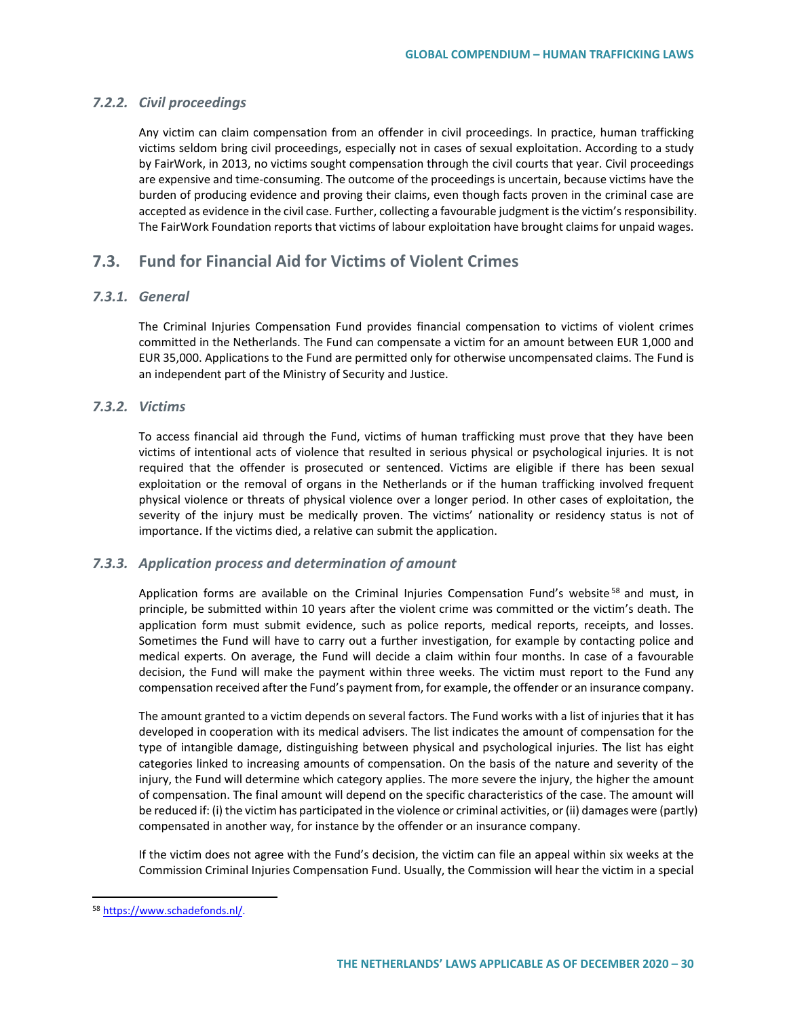## *7.2.2. Civil proceedings*

Any victim can claim compensation from an offender in civil proceedings. In practice, human trafficking victims seldom bring civil proceedings, especially not in cases of sexual exploitation. According to a study by FairWork, in 2013, no victims sought compensation through the civil courts that year. Civil proceedings are expensive and time-consuming. The outcome of the proceedings is uncertain, because victims have the burden of producing evidence and proving their claims, even though facts proven in the criminal case are accepted as evidence in the civil case. Further, collecting a favourable judgment isthe victim's responsibility. The FairWork Foundation reports that victims of labour exploitation have brought claims for unpaid wages.

# **7.3. Fund for Financial Aid for Victims of Violent Crimes**

## *7.3.1. General*

The Criminal Injuries Compensation Fund provides financial compensation to victims of violent crimes committed in the Netherlands. The Fund can compensate a victim for an amount between EUR 1,000 and EUR 35,000. Applications to the Fund are permitted only for otherwise uncompensated claims. The Fund is an independent part of the Ministry of Security and Justice.

## *7.3.2. Victims*

To access financial aid through the Fund, victims of human trafficking must prove that they have been victims of intentional acts of violence that resulted in serious physical or psychological injuries. It is not required that the offender is prosecuted or sentenced. Victims are eligible if there has been sexual exploitation or the removal of organs in the Netherlands or if the human trafficking involved frequent physical violence or threats of physical violence over a longer period. In other cases of exploitation, the severity of the injury must be medically proven. The victims' nationality or residency status is not of importance. If the victims died, a relative can submit the application.

## *7.3.3. Application process and determination of amount*

Application forms are available on the Criminal Injuries Compensation Fund's website<sup>[58](#page-29-0)</sup> and must, in principle, be submitted within 10 years after the violent crime was committed or the victim's death. The application form must submit evidence, such as police reports, medical reports, receipts, and losses. Sometimes the Fund will have to carry out a further investigation, for example by contacting police and medical experts. On average, the Fund will decide a claim within four months. In case of a favourable decision, the Fund will make the payment within three weeks. The victim must report to the Fund any compensation received after the Fund's payment from, for example, the offender or an insurance company.

The amount granted to a victim depends on several factors. The Fund works with a list of injuries that it has developed in cooperation with its medical advisers. The list indicates the amount of compensation for the type of intangible damage, distinguishing between physical and psychological injuries. The list has eight categories linked to increasing amounts of compensation. On the basis of the nature and severity of the injury, the Fund will determine which category applies. The more severe the injury, the higher the amount of compensation. The final amount will depend on the specific characteristics of the case. The amount will be reduced if: (i) the victim has participated in the violence or criminal activities, or (ii) damages were (partly) compensated in another way, for instance by the offender or an insurance company.

If the victim does not agree with the Fund's decision, the victim can file an appeal within six weeks at the Commission Criminal Injuries Compensation Fund. Usually, the Commission will hear the victim in a special

<span id="page-29-0"></span><sup>58</sup> [https://www.schadefonds.nl/.](https://www.schadefonds.nl/)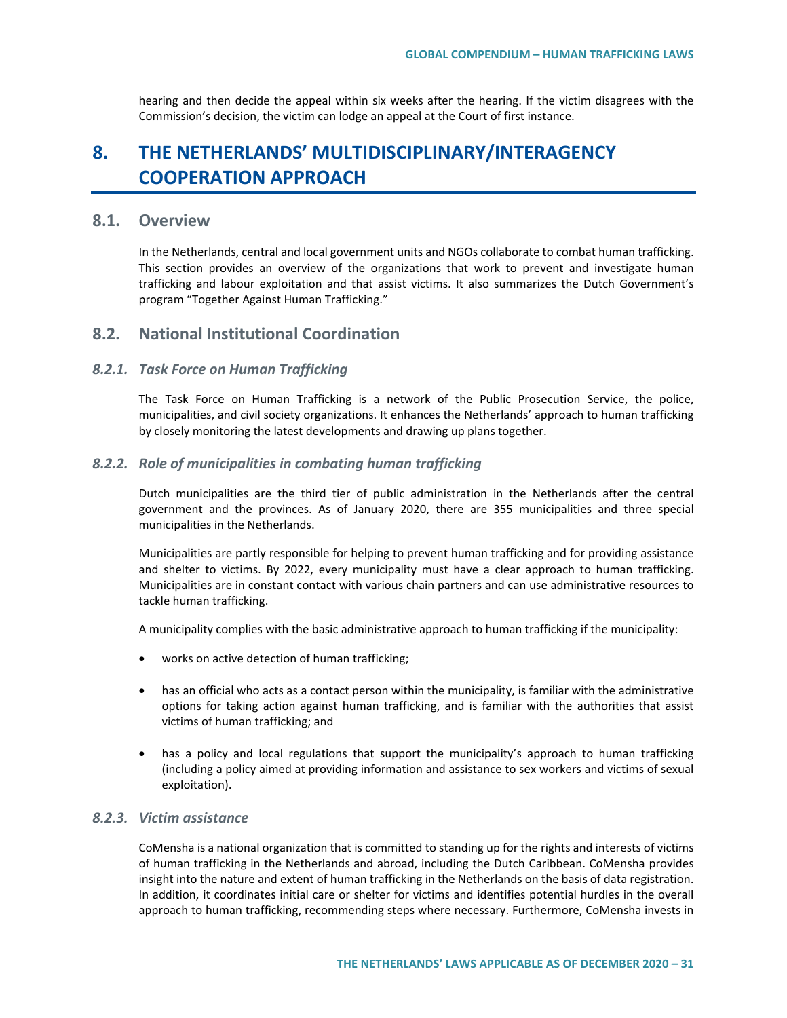hearing and then decide the appeal within six weeks after the hearing. If the victim disagrees with the Commission's decision, the victim can lodge an appeal at the Court of first instance.

# **8. THE NETHERLANDS' MULTIDISCIPLINARY/INTERAGENCY COOPERATION APPROACH**

## **8.1. Overview**

In the Netherlands, central and local government units and NGOs collaborate to combat human trafficking. This section provides an overview of the organizations that work to prevent and investigate human trafficking and labour exploitation and that assist victims. It also summarizes the Dutch Government's program "Together Against Human Trafficking."

# **8.2. National Institutional Coordination**

### *8.2.1. Task Force on Human Trafficking*

The Task Force on Human Trafficking is a network of the Public Prosecution Service, the police, municipalities, and civil society organizations. It enhances the Netherlands' approach to human trafficking by closely monitoring the latest developments and drawing up plans together.

### *8.2.2. Role of municipalities in combating human trafficking*

Dutch municipalities are the third tier of public administration in the Netherlands after the central government and the provinces. As of January 2020, there are 355 municipalities and three special municipalities in the Netherlands.

Municipalities are partly responsible for helping to prevent human trafficking and for providing assistance and shelter to victims. By 2022, every municipality must have a clear approach to human trafficking. Municipalities are in constant contact with various chain partners and can use administrative resources to tackle human trafficking.

A municipality complies with the basic administrative approach to human trafficking if the municipality:

- works on active detection of human trafficking;
- has an official who acts as a contact person within the municipality, is familiar with the administrative options for taking action against human trafficking, and is familiar with the authorities that assist victims of human trafficking; and
- has a policy and local regulations that support the municipality's approach to human trafficking (including a policy aimed at providing information and assistance to sex workers and victims of sexual exploitation).

## *8.2.3. Victim assistance*

CoMensha is a national organization that is committed to standing up for the rights and interests of victims of human trafficking in the Netherlands and abroad, including the Dutch Caribbean. CoMensha provides insight into the nature and extent of human trafficking in the Netherlands on the basis of data registration. In addition, it coordinates initial care or shelter for victims and identifies potential hurdles in the overall approach to human trafficking, recommending steps where necessary. Furthermore, CoMensha invests in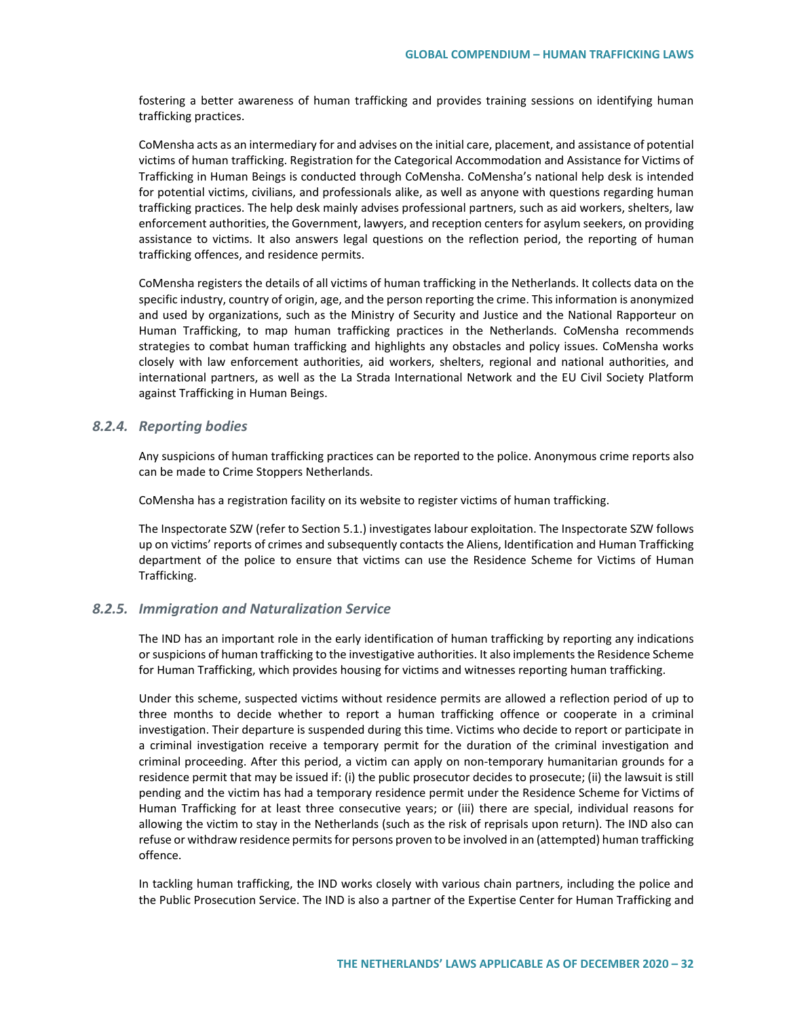fostering a better awareness of human trafficking and provides training sessions on identifying human trafficking practices.

CoMensha acts as an intermediary for and advises on the initial care, placement, and assistance of potential victims of human trafficking. Registration for the Categorical Accommodation and Assistance for Victims of Trafficking in Human Beings is conducted through CoMensha. CoMensha's national help desk is intended for potential victims, civilians, and professionals alike, as well as anyone with questions regarding human trafficking practices. The help desk mainly advises professional partners, such as aid workers, shelters, law enforcement authorities, the Government, lawyers, and reception centers for asylum seekers, on providing assistance to victims. It also answers legal questions on the reflection period, the reporting of human trafficking offences, and residence permits.

CoMensha registers the details of all victims of human trafficking in the Netherlands. It collects data on the specific industry, country of origin, age, and the person reporting the crime. This information is anonymized and used by organizations, such as the Ministry of Security and Justice and the National Rapporteur on Human Trafficking, to map human trafficking practices in the Netherlands. CoMensha recommends strategies to combat human trafficking and highlights any obstacles and policy issues. CoMensha works closely with law enforcement authorities, aid workers, shelters, regional and national authorities, and international partners, as well as the La Strada International Network and the EU Civil Society Platform against Trafficking in Human Beings.

### *8.2.4. Reporting bodies*

Any suspicions of human trafficking practices can be reported to the police. Anonymous crime reports also can be made to Crime Stoppers Netherlands.

CoMensha has a registration facility on its website to register victims of human trafficking.

The Inspectorate SZW (refer to Section 5.1.) investigates labour exploitation. The Inspectorate SZW follows up on victims' reports of crimes and subsequently contacts the Aliens, Identification and Human Trafficking department of the police to ensure that victims can use the Residence Scheme for Victims of Human Trafficking.

#### *8.2.5. Immigration and Naturalization Service*

The IND has an important role in the early identification of human trafficking by reporting any indications or suspicions of human trafficking to the investigative authorities. It also implements the Residence Scheme for Human Trafficking, which provides housing for victims and witnesses reporting human trafficking.

Under this scheme, suspected victims without residence permits are allowed a reflection period of up to three months to decide whether to report a human trafficking offence or cooperate in a criminal investigation. Their departure is suspended during this time. Victims who decide to report or participate in a criminal investigation receive a temporary permit for the duration of the criminal investigation and criminal proceeding. After this period, a victim can apply on non-temporary humanitarian grounds for a residence permit that may be issued if: (i) the public prosecutor decides to prosecute; (ii) the lawsuit is still pending and the victim has had a temporary residence permit under the Residence Scheme for Victims of Human Trafficking for at least three consecutive years; or (iii) there are special, individual reasons for allowing the victim to stay in the Netherlands (such as the risk of reprisals upon return). The IND also can refuse or withdraw residence permits for persons proven to be involved in an (attempted) human trafficking offence.

In tackling human trafficking, the IND works closely with various chain partners, including the police and the Public Prosecution Service. The IND is also a partner of the Expertise Center for Human Trafficking and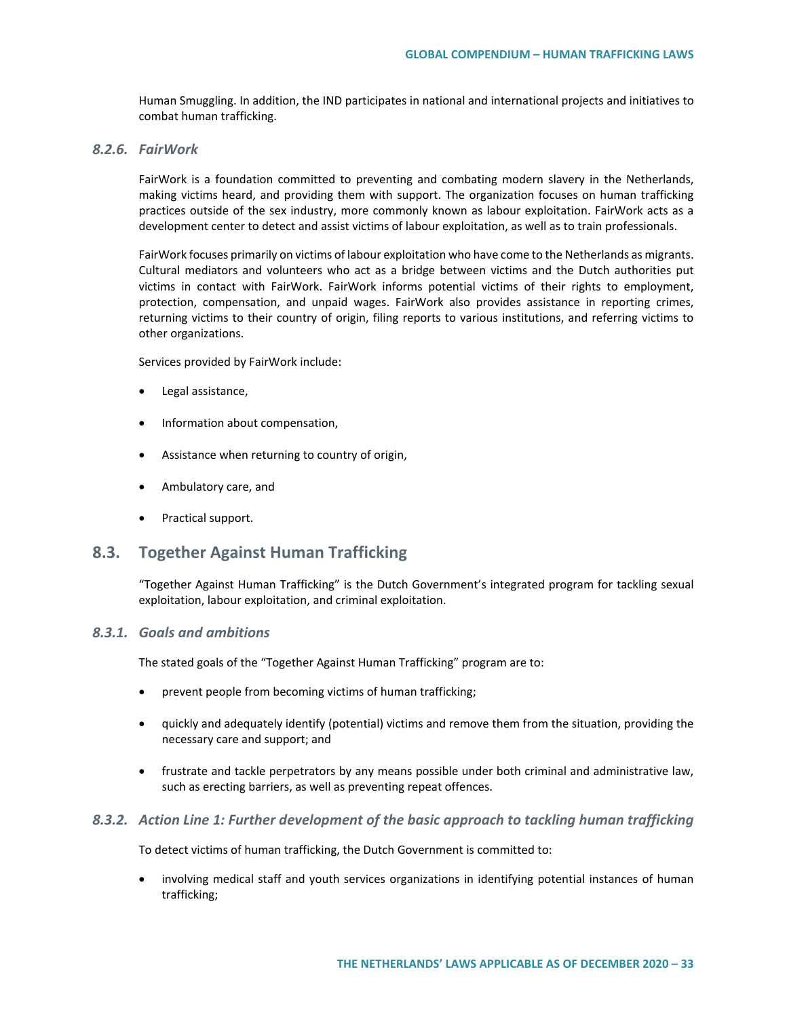Human Smuggling. In addition, the IND participates in national and international projects and initiatives to combat human trafficking.

## *8.2.6. FairWork*

FairWork is a foundation committed to preventing and combating modern slavery in the Netherlands, making victims heard, and providing them with support. The organization focuses on human trafficking practices outside of the sex industry, more commonly known as labour exploitation. FairWork acts as a development center to detect and assist victims of labour exploitation, as well as to train professionals.

FairWork focuses primarily on victims of labour exploitation who have come to the Netherlands as migrants. Cultural mediators and volunteers who act as a bridge between victims and the Dutch authorities put victims in contact with FairWork. FairWork informs potential victims of their rights to employment, protection, compensation, and unpaid wages. FairWork also provides assistance in reporting crimes, returning victims to their country of origin, filing reports to various institutions, and referring victims to other organizations.

Services provided by FairWork include:

- Legal assistance,
- Information about compensation,
- Assistance when returning to country of origin,
- Ambulatory care, and
- Practical support.

# **8.3. Together Against Human Trafficking**

"Together Against Human Trafficking" is the Dutch Government's integrated program for tackling sexual exploitation, labour exploitation, and criminal exploitation.

## *8.3.1. Goals and ambitions*

The stated goals of the "Together Against Human Trafficking" program are to:

- prevent people from becoming victims of human trafficking;
- quickly and adequately identify (potential) victims and remove them from the situation, providing the necessary care and support; and
- frustrate and tackle perpetrators by any means possible under both criminal and administrative law, such as erecting barriers, as well as preventing repeat offences.

## *8.3.2. Action Line 1: Further development of the basic approach to tackling human trafficking*

To detect victims of human trafficking, the Dutch Government is committed to:

• involving medical staff and youth services organizations in identifying potential instances of human trafficking;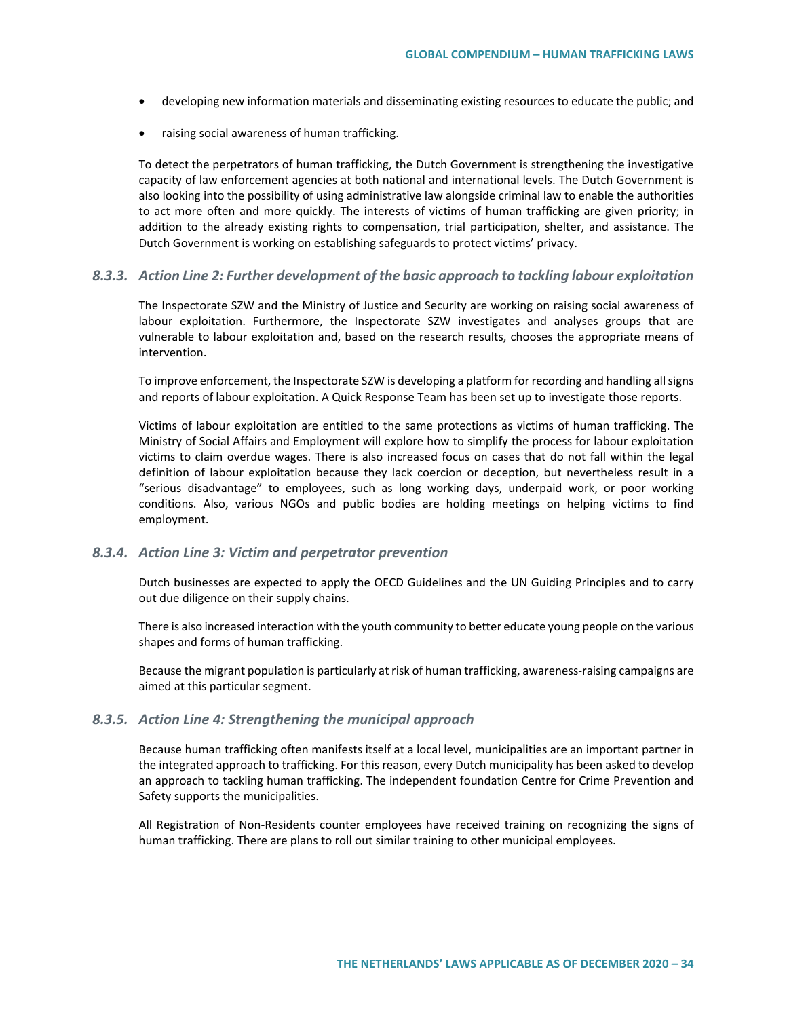- developing new information materials and disseminating existing resources to educate the public; and
- raising social awareness of human trafficking.

To detect the perpetrators of human trafficking, the Dutch Government is strengthening the investigative capacity of law enforcement agencies at both national and international levels. The Dutch Government is also looking into the possibility of using administrative law alongside criminal law to enable the authorities to act more often and more quickly. The interests of victims of human trafficking are given priority; in addition to the already existing rights to compensation, trial participation, shelter, and assistance. The Dutch Government is working on establishing safeguards to protect victims' privacy.

### *8.3.3. Action Line 2: Further development of the basic approach to tackling labour exploitation*

The Inspectorate SZW and the Ministry of Justice and Security are working on raising social awareness of labour exploitation. Furthermore, the Inspectorate SZW investigates and analyses groups that are vulnerable to labour exploitation and, based on the research results, chooses the appropriate means of intervention.

To improve enforcement, the Inspectorate SZW is developing a platform for recording and handling all signs and reports of labour exploitation. A Quick Response Team has been set up to investigate those reports.

Victims of labour exploitation are entitled to the same protections as victims of human trafficking. The Ministry of Social Affairs and Employment will explore how to simplify the process for labour exploitation victims to claim overdue wages. There is also increased focus on cases that do not fall within the legal definition of labour exploitation because they lack coercion or deception, but nevertheless result in a "serious disadvantage" to employees, such as long working days, underpaid work, or poor working conditions. Also, various NGOs and public bodies are holding meetings on helping victims to find employment.

#### *8.3.4. Action Line 3: Victim and perpetrator prevention*

Dutch businesses are expected to apply the OECD Guidelines and the UN Guiding Principles and to carry out due diligence on their supply chains.

There is also increased interaction with the youth community to better educate young people on the various shapes and forms of human trafficking.

Because the migrant population is particularly at risk of human trafficking, awareness-raising campaigns are aimed at this particular segment.

### *8.3.5. Action Line 4: Strengthening the municipal approach*

Because human trafficking often manifests itself at a local level, municipalities are an important partner in the integrated approach to trafficking. For this reason, every Dutch municipality has been asked to develop an approach to tackling human trafficking. The independent foundation Centre for Crime Prevention and Safety supports the municipalities.

All Registration of Non-Residents counter employees have received training on recognizing the signs of human trafficking. There are plans to roll out similar training to other municipal employees.